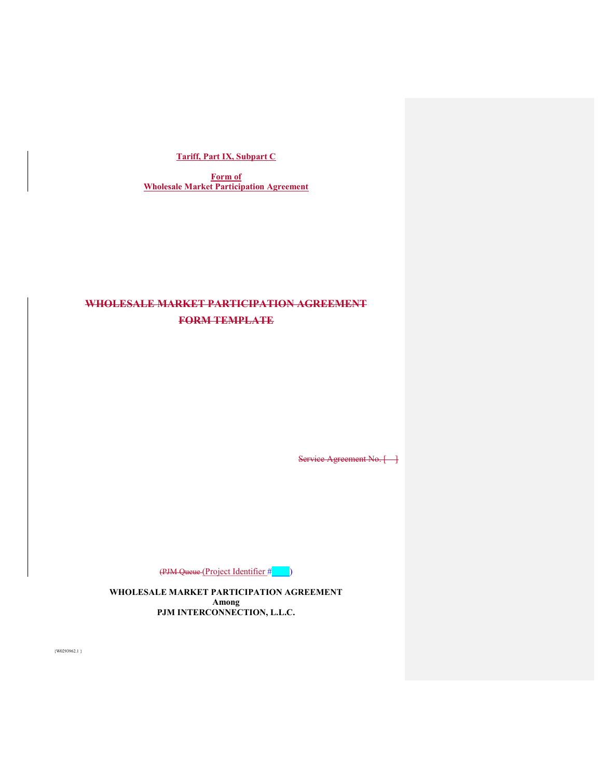# **Tariff, Part IX, Subpart C**

**Form of Wholesale Market Participation Agreement** 

# **WHOLESALE MARKET PARTICIPATION AGREEMENT FORM TEMPLATE**

Service Agreement No. [ ]

(PJM Queue (Project Identifier #\_\_\_\_)

**WHOLESALE MARKET PARTICIPATION AGREEMENT Among PJM INTERCONNECTION, L.L.C.**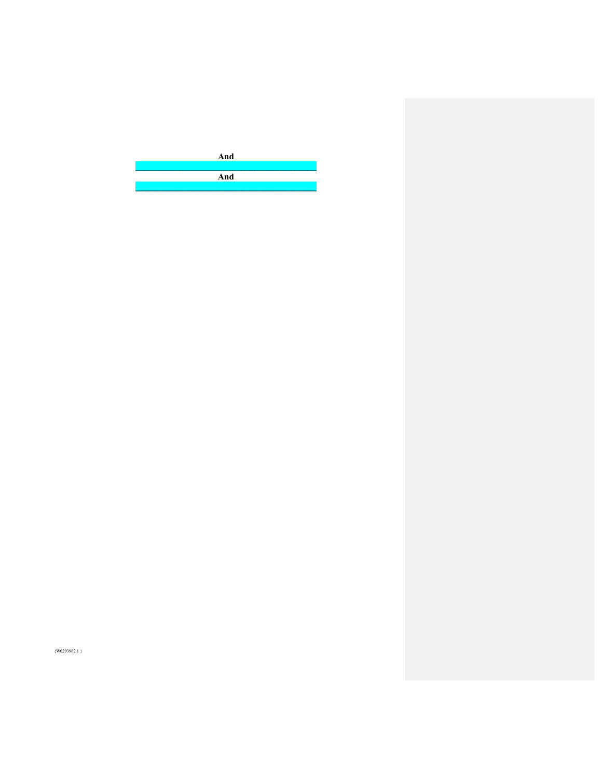

 $\{W0293962.1\}$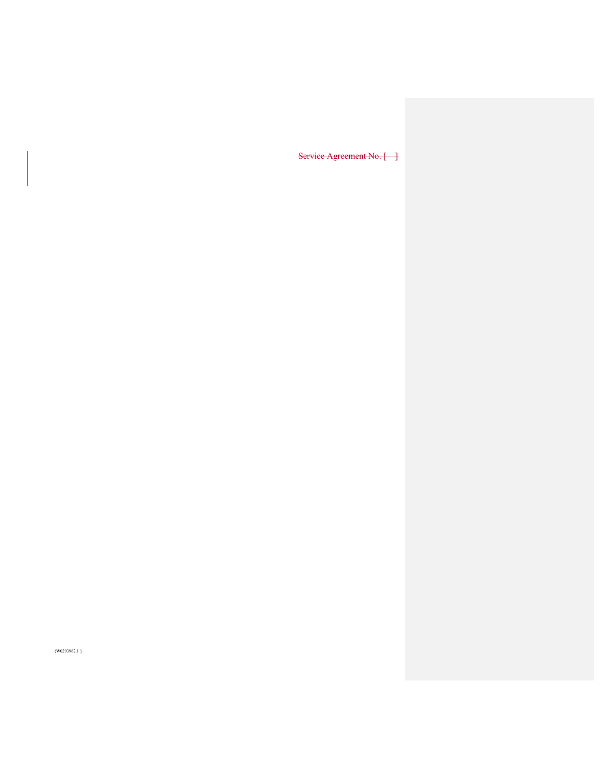Service Agreement No. [ ]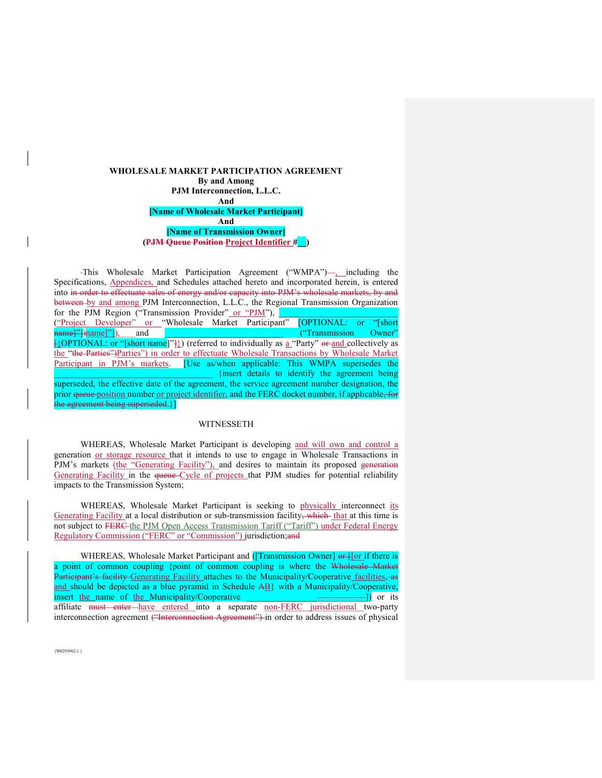#### **WHOLESALE MARKET PARTICIPATION AGREEMENT By and Among PJM Interconnection, L.L.C. And [Name of Wholesale Market Participant] And [Name of Transmission Owner] (PJM Queue Position Project Identifier #\_\_)**

This Wholesale Market Participation Agreement ("WMPA")—, including the Specifications, Appendices, and Schedules attached hereto and incorporated herein, is entered into in order to effectuate sales of energy and/or capacity into PJM's wholesale markets, by and between by and among PJM Interconnection, L.L.C., the Regional Transmission Organization for the PJM Region ("Transmission Provider" or "PJM"), ("Project Developer" or "Wholesale Market Participant" [OPTIONAL: or "[short name]"])<sub>name</sub>]"]), and **defining the end of the end of the end of the contract of Cowner"**  $\frac{1}{2}$ [20PTIONAL: or "[short name]" $\frac{1}{2}$ ]) (referred to individually as  $\underline{a}$  "Party" or and collectively as the "the Parties")Parties") in order to effectuate Wholesale Transactions by Wholesale Market Participant in PJM's markets. [Use as/when applicable: This WMPA supersedes the \_\_\_\_\_\_\_\_\_\_\_\_\_\_\_\_\_\_\_\_\_\_\_\_\_\_\_\_\_\_\_\_\_\_\_\_ {insert details to identify the agreement being superseded, the effective date of the agreement, the service agreement number designation, the prior queue position number or project identifier, and the FERC docket number, if applicable, for the agreement being superseded.}]

#### WITNESSETH

 WHEREAS, Wholesale Market Participant is developing and will own and control a generation or storage resource that it intends to use to engage in Wholesale Transactions in PJM's markets (the "Generating Facility"), and desires to maintain its proposed generation Generating Facility in the queue Cycle of projects that PJM studies for potential reliability impacts to the Transmission System;

 WHEREAS, Wholesale Market Participant is seeking to physically interconnect its Generating Facility at a local distribution or sub-transmission facility, which that at this time is not subject to FERC the PJM Open Access Transmission Tariff ("Tariff") under Federal Energy Regulatory Commission ("FERC" or "Commission") jurisdiction;and

WHEREAS, Wholesale Market Participant and ([Transmission Owner] or for if there is a point of common coupling {point of common coupling is where the Wholesale Market Participant's facility Generating Facility attaches to the Municipality/Cooperative facilities, as and should be depicted as a blue pyramid in Schedule AB} with a Municipality/Cooperative, insert the name of the Municipality/Cooperative \_\_\_\_\_\_\_\_\_\_\_\_\_\_\_\_\_\_\_\_\_\_\_\_\_\_\_]) or its affiliate must enter have entered into a separate non-FERC jurisdictional two-party interconnection agreement ("Interconnection Agreement") in order to address issues of physical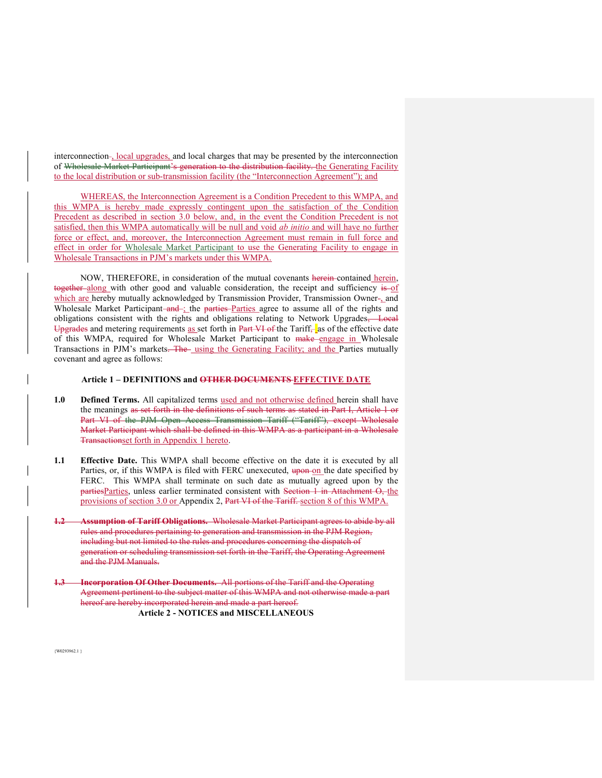interconnection-, local upgrades, and local charges that may be presented by the interconnection of Wholesale Market Participant's generation to the distribution facility. the Generating Facility to the local distribution or sub-transmission facility (the "Interconnection Agreement"); and

WHEREAS, the Interconnection Agreement is a Condition Precedent to this WMPA, and this WMPA is hereby made expressly contingent upon the satisfaction of the Condition Precedent as described in section 3.0 below, and, in the event the Condition Precedent is not satisfied, then this WMPA automatically will be null and void *ab initio* and will have no further force or effect, and, moreover, the Interconnection Agreement must remain in full force and effect in order for Wholesale Market Participant to use the Generating Facility to engage in Wholesale Transactions in PJM's markets under this WMPA.

NOW, THEREFORE, in consideration of the mutual covenants herein-contained herein, together along with other good and valuable consideration, the receipt and sufficiency is -of which are hereby mutually acknowledged by Transmission Provider, Transmission Owner-, and Wholesale Market Participant-and-; the parties Parties agree to assume all of the rights and obligations consistent with the rights and obligations relating to Network Upgrades, Local Upgrades and metering requirements as set forth in Part VI of the Tariff, as of the effective date of this WMPA, required for Wholesale Market Participant to make engage in Wholesale Transactions in PJM's markets. The using the Generating Facility; and the Parties mutually covenant and agree as follows:

#### **Article 1 – DEFINITIONS and OTHER DOCUMENTS EFFECTIVE DATE**

- **1.0 Defined Terms.** All capitalized terms used and not otherwise defined herein shall have the meanings as set forth in the definitions of such terms as stated in Part I, Article 1 or Part VI of the PJM Open Access Transmission Tariff ("Tariff"), except Wholesale Market Participant which shall be defined in this WMPA as a participant in a Wholesale Transactionset forth in Appendix 1 hereto.
- **1.1** Effective Date. This WMPA shall become effective on the date it is executed by all Parties, or, if this WMPA is filed with FERC unexecuted, upon on the date specified by FERC. This WMPA shall terminate on such date as mutually agreed upon by the partiesParties, unless earlier terminated consistent with Section 1 in Attachment O, the provisions of section 3.0 or Appendix 2, Part VI of the Tariff. section 8 of this WMPA.
- **1.2 Assumption of Tariff Obligations.** Wholesale Market Participant agrees to abide by all rules and procedures pertaining to generation and transmission in the PJM Region, including but not limited to the rules and procedures concerning the dispatch of generation or scheduling transmission set forth in the Tariff, the Operating Agreement and the PJM Manuals.
- **Incorporation Of Other Documents.** All portions of the Tariff and the Operating Agreement pertinent to the subject matter of this WMPA and not otherwise made a part hereof are hereby incorporated herein and made a part hereof. **Article 2 - NOTICES and MISCELLANEOUS**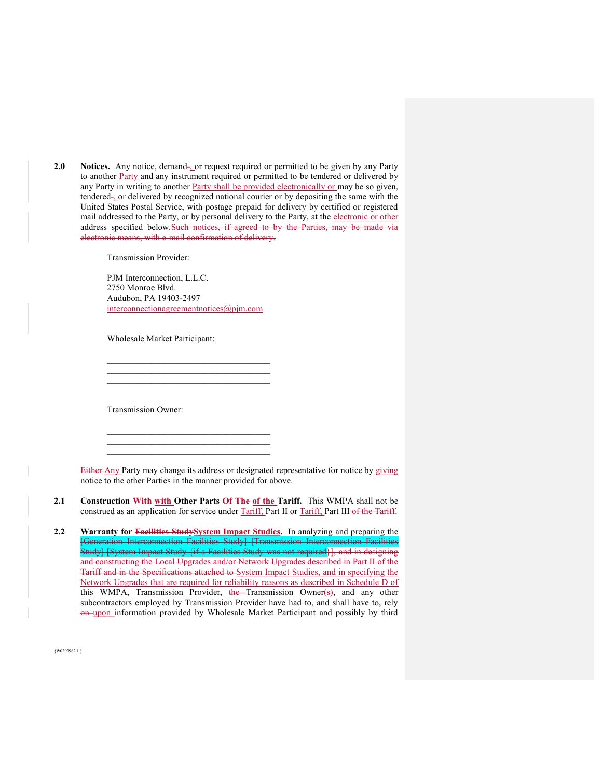**2.0** Notices. Any notice, demand-<sub>1</sub> or request required or permitted to be given by any Party to another Party and any instrument required or permitted to be tendered or delivered by any Party in writing to another Party shall be provided electronically or may be so given, tendered , or delivered by recognized national courier or by depositing the same with the United States Postal Service, with postage prepaid for delivery by certified or registered mail addressed to the Party, or by personal delivery to the Party, at the electronic or other address specified below. Such notices, if agreed to by the Parties, may be made via electronic means, with e-mail confirmation of delivery.

Transmission Provider:

PJM Interconnection, L.L.C. 2750 Monroe Blvd. Audubon, PA 19403-2497 interconnectionagreementnotices@pjm.com

\_\_\_\_\_\_\_\_\_\_\_\_\_\_\_\_\_\_\_\_\_\_\_\_\_\_\_\_\_\_\_\_\_\_\_\_\_

 $\mathcal{L}_\text{max}$ \_\_\_\_\_\_\_\_\_\_\_\_\_\_\_\_\_\_\_\_\_\_\_\_\_\_\_\_\_\_\_\_\_\_\_\_\_

Wholesale Market Participant:

Transmission Owner:

Either Any Party may change its address or designated representative for notice by giving notice to the other Parties in the manner provided for above.

**2.1** Construction With with Other Parts Of The of the Tariff. This WMPA shall not be construed as an application for service under Tariff, Part II or Tariff, Part III of the Tariff.

**2.2 Warranty for Facilities StudySystem Impact Studies.** In analyzing and preparing the [Generation Interconnection Facilities Study] [Transmission Interconnection Facilities Study] [System Impact Study {if a Facilities Study was not required}], and in designing and constructing the Local Upgrades and/or Network Upgrades described in Part II of the Tariff and in the Specifications attached to System Impact Studies, and in specifying the Network Upgrades that are required for reliability reasons as described in Schedule D of this WMPA, Transmission Provider, the Transmission Owner(s), and any other subcontractors employed by Transmission Provider have had to, and shall have to, rely on upon information provided by Wholesale Market Participant and possibly by third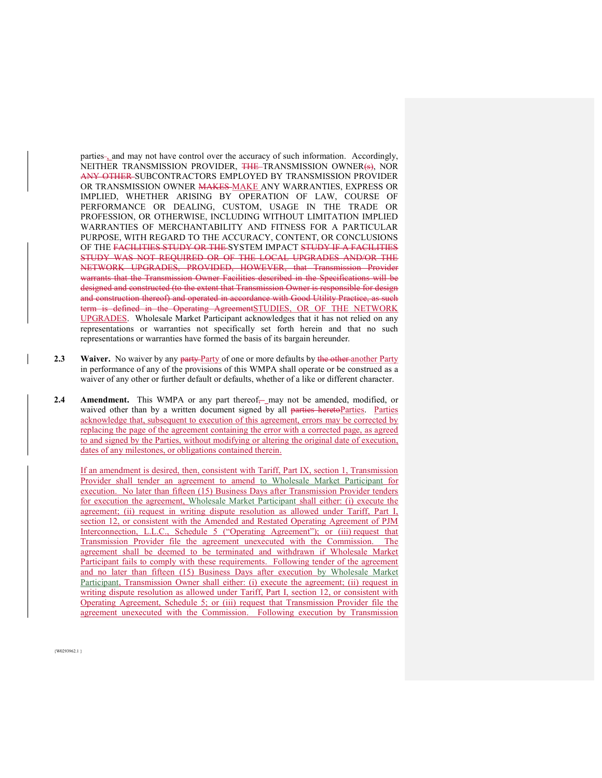parties-, and may not have control over the accuracy of such information. Accordingly, NEITHER TRANSMISSION PROVIDER, THE TRANSMISSION OWNER(s), NOR ANY OTHER SUBCONTRACTORS EMPLOYED BY TRANSMISSION PROVIDER OR TRANSMISSION OWNER MAKES MAKE ANY WARRANTIES, EXPRESS OR IMPLIED, WHETHER ARISING BY OPERATION OF LAW, COURSE OF PERFORMANCE OR DEALING, CUSTOM, USAGE IN THE TRADE OR PROFESSION, OR OTHERWISE, INCLUDING WITHOUT LIMITATION IMPLIED WARRANTIES OF MERCHANTABILITY AND FITNESS FOR A PARTICULAR PURPOSE, WITH REGARD TO THE ACCURACY, CONTENT, OR CONCLUSIONS OF THE FACILITIES STUDY OR THE SYSTEM IMPACT STUDY IF A FACILITIES STUDY WAS NOT REQUIRED OR OF THE LOCAL UPGRADES AND/OR THE NETWORK UPGRADES, PROVIDED, HOWEVER, that Transmission Provider warrants that the Transmission Owner Facilities described in the Specifications will be designed and constructed (to the extent that Transmission Owner is responsible for design and construction thereof) and operated in accordance with Good Utility Practice, as such term is defined in the Operating AgreementSTUDIES, OR OF THE NETWORK UPGRADES. Wholesale Market Participant acknowledges that it has not relied on any representations or warranties not specifically set forth herein and that no such representations or warranties have formed the basis of its bargain hereunder.

- **2.3** Waiver. No waiver by any party-Party of one or more defaults by the other-another Party in performance of any of the provisions of this WMPA shall operate or be construed as a waiver of any other or further default or defaults, whether of a like or different character.
- **2.4 Amendment.** This WMPA or any part thereof<sub> $\frac{1}{2}$ </sub> may not be amended, modified, or waived other than by a written document signed by all parties heretoParties. Parties acknowledge that, subsequent to execution of this agreement, errors may be corrected by replacing the page of the agreement containing the error with a corrected page, as agreed to and signed by the Parties, without modifying or altering the original date of execution, dates of any milestones, or obligations contained therein.

If an amendment is desired, then, consistent with Tariff, Part IX, section 1, Transmission Provider shall tender an agreement to amend to Wholesale Market Participant for execution. No later than fifteen (15) Business Days after Transmission Provider tenders for execution the agreement, Wholesale Market Participant shall either: (i) execute the agreement; (ii) request in writing dispute resolution as allowed under Tariff, Part I, section 12, or consistent with the Amended and Restated Operating Agreement of PJM Interconnection, L.L.C., Schedule 5 ("Operating Agreement"); or (iii) request that Transmission Provider file the agreement unexecuted with the Commission. The agreement shall be deemed to be terminated and withdrawn if Wholesale Market Participant fails to comply with these requirements. Following tender of the agreement and no later than fifteen (15) Business Days after execution by Wholesale Market Participant, Transmission Owner shall either: (i) execute the agreement; (ii) request in writing dispute resolution as allowed under Tariff, Part I, section 12, or consistent with Operating Agreement, Schedule 5; or (iii) request that Transmission Provider file the agreement unexecuted with the Commission. Following execution by Transmission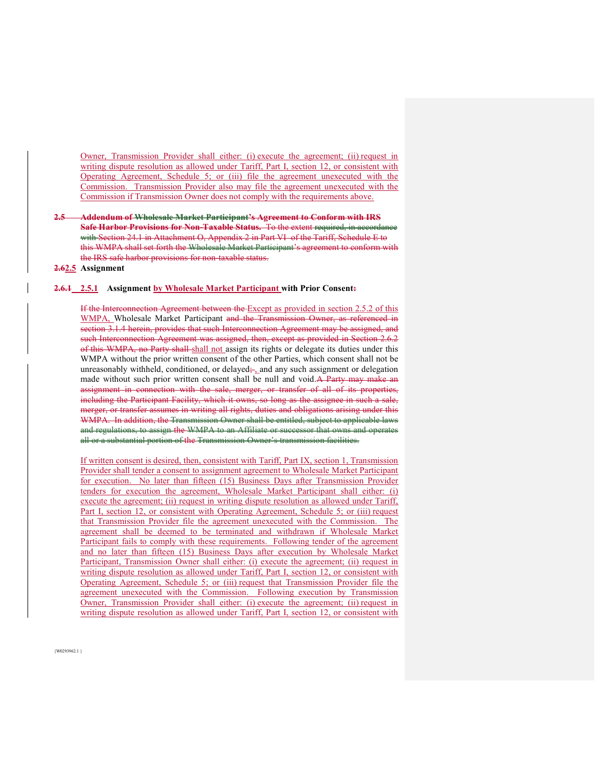Owner, Transmission Provider shall either: (i) execute the agreement; (ii) request in writing dispute resolution as allowed under Tariff, Part I, section 12, or consistent with Operating Agreement, Schedule 5; or (iii) file the agreement unexecuted with the Commission. Transmission Provider also may file the agreement unexecuted with the Commission if Transmission Owner does not comply with the requirements above.

#### **2.5 Addendum of Wholesale Market Participant's Agreement to Conform with IRS Safe Harbor Provisions for Non-Taxable Status.** To the extent required, in accordance with Section 24.1 in Attachment O, Appendix 2 in Part VI of the Tariff, Schedule E to this WMPA shall set forth the Wholesale Market Participant's agreement to conform with the IRS safe harbor provisions for non-taxable status.

#### **2.62.5 Assignment**

#### **2.6.1 2.5.1 Assignment by Wholesale Market Participant with Prior Consent:**

If the Interconnection Agreement between the Except as provided in section 2.5.2 of this WMPA, Wholesale Market Participant and the Transmission Owner, as referenced in section 3.1.4 herein, provides that such Interconnection Agreement may be assigned, and such Interconnection Agreement was assigned, then, except as provided in Section 2.6.2 of this WMPA, no Party shall shall not assign its rights or delegate its duties under this WMPA without the prior written consent of the other Parties, which consent shall not be unreasonably withheld, conditioned, or delayed $\frac{1}{2}$  and any such assignment or delegation made without such prior written consent shall be null and void.A Party may make an assignment in connection with the sale, merger, or transfer of all of its properties, including the Participant Facility, which it owns, so long as the assignee in such a sale, merger, or transfer assumes in writing all rights, duties and obligations arising under this WMPA. In addition, the Transmission Owner shall be entitled, subject to applicable laws and regulations, to assign the WMPA to an Affiliate or successor that owns and operates all or a substantial portion of the Transmission Owner's transmission facilities.

If written consent is desired, then, consistent with Tariff, Part IX, section 1, Transmission Provider shall tender a consent to assignment agreement to Wholesale Market Participant for execution. No later than fifteen (15) Business Days after Transmission Provider tenders for execution the agreement, Wholesale Market Participant shall either: (i) execute the agreement; (ii) request in writing dispute resolution as allowed under Tariff, Part I, section 12, or consistent with Operating Agreement, Schedule 5; or (iii) request that Transmission Provider file the agreement unexecuted with the Commission. The agreement shall be deemed to be terminated and withdrawn if Wholesale Market Participant fails to comply with these requirements. Following tender of the agreement and no later than fifteen (15) Business Days after execution by Wholesale Market Participant, Transmission Owner shall either: (i) execute the agreement; (ii) request in writing dispute resolution as allowed under Tariff, Part I, section 12, or consistent with Operating Agreement, Schedule 5; or (iii) request that Transmission Provider file the agreement unexecuted with the Commission. Following execution by Transmission Owner, Transmission Provider shall either: (i) execute the agreement; (ii) request in writing dispute resolution as allowed under Tariff, Part I, section 12, or consistent with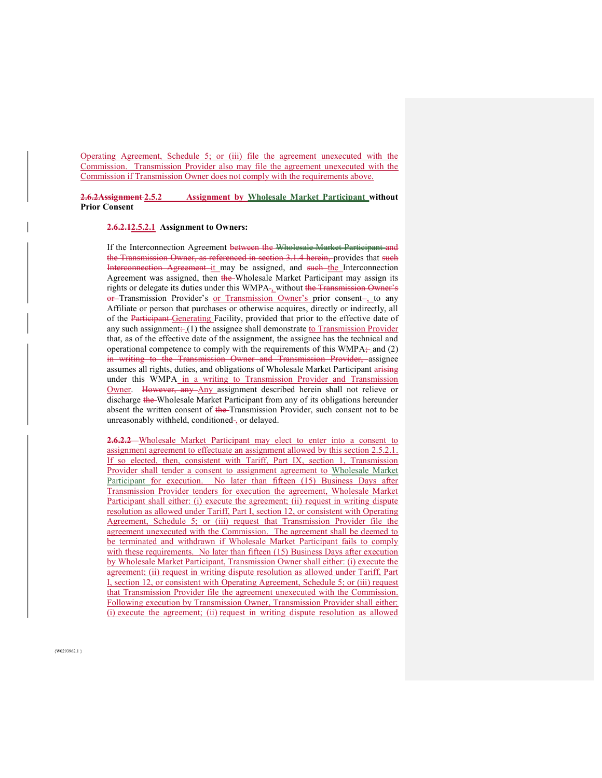Operating Agreement, Schedule 5; or (iii) file the agreement unexecuted with the Commission. Transmission Provider also may file the agreement unexecuted with the Commission if Transmission Owner does not comply with the requirements above.

**2.6.2Assignment 2.5.2 Assignment by Wholesale Market Participant without Prior Consent** 

#### **2.6.2.12.5.2.1 Assignment to Owners:**

If the Interconnection Agreement between the Wholesale Market Participant and the Transmission Owner, as referenced in section 3.1.4 herein, provides that such Interconnection Agreement-it may be assigned, and such-the Interconnection Agreement was assigned, then the Wholesale Market Participant may assign its rights or delegate its duties under this WMPA-, without the Transmission Owner's or Transmission Provider's or Transmission Owner's prior consent-, to any Affiliate or person that purchases or otherwise acquires, directly or indirectly, all of the Participant Generating Facility, provided that prior to the effective date of any such assignment:  $(1)$  the assignee shall demonstrate to Transmission Provider that, as of the effective date of the assignment, the assignee has the technical and operational competence to comply with the requirements of this  $WMPA_{\tau}$  and (2) in writing to the Transmission Owner and Transmission Provider, assignee assumes all rights, duties, and obligations of Wholesale Market Participant arising under this WMPA in a writing to Transmission Provider and Transmission Owner. However, any Any assignment described herein shall not relieve or discharge the Wholesale Market Participant from any of its obligations hereunder absent the written consent of the Transmission Provider, such consent not to be unreasonably withheld, conditioned-, or delayed.

**2.6.2.2** Wholesale Market Participant may elect to enter into a consent to assignment agreement to effectuate an assignment allowed by this section 2.5.2.1. If so elected, then, consistent with Tariff, Part IX, section 1, Transmission Provider shall tender a consent to assignment agreement to Wholesale Market Participant for execution. No later than fifteen (15) Business Days after Transmission Provider tenders for execution the agreement, Wholesale Market Participant shall either: (i) execute the agreement; (ii) request in writing dispute resolution as allowed under Tariff, Part I, section 12, or consistent with Operating Agreement, Schedule 5; or (iii) request that Transmission Provider file the agreement unexecuted with the Commission. The agreement shall be deemed to be terminated and withdrawn if Wholesale Market Participant fails to comply with these requirements. No later than fifteen (15) Business Days after execution by Wholesale Market Participant, Transmission Owner shall either: (i) execute the agreement; (ii) request in writing dispute resolution as allowed under Tariff, Part I, section 12, or consistent with Operating Agreement, Schedule 5; or (iii) request that Transmission Provider file the agreement unexecuted with the Commission. Following execution by Transmission Owner, Transmission Provider shall either: (i) execute the agreement; (ii) request in writing dispute resolution as allowed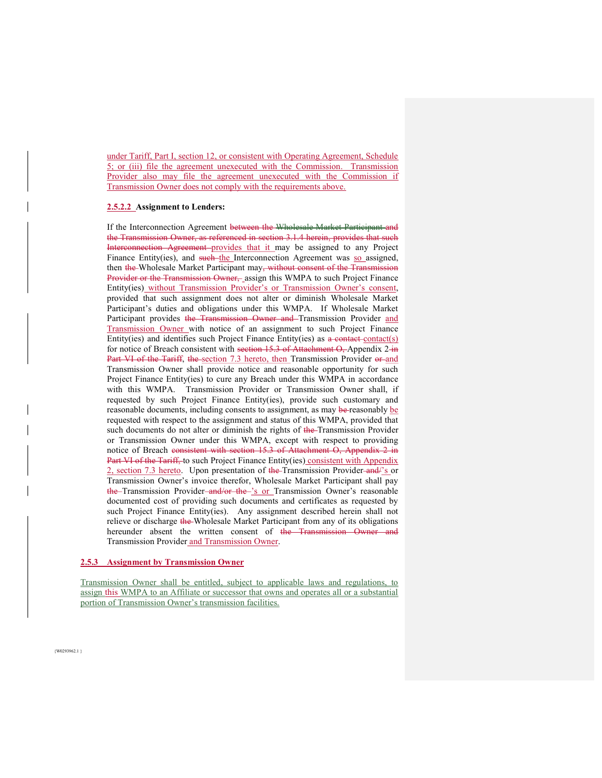under Tariff, Part I, section 12, or consistent with Operating Agreement, Schedule 5; or (iii) file the agreement unexecuted with the Commission. Transmission Provider also may file the agreement unexecuted with the Commission if Transmission Owner does not comply with the requirements above.

#### **2.5.2.2 Assignment to Lenders:**

If the Interconnection Agreement between the Wholesale Market Participant and the Transmission Owner, as referenced in section 3.1.4 herein, provides that such Interconnection Agreement provides that it may be assigned to any Project Finance Entity(ies), and such the Interconnection Agreement was so assigned, then the Wholesale Market Participant may, without consent of the Transmission Provider or the Transmission Owner, assign this WMPA to such Project Finance Entity(ies) without Transmission Provider's or Transmission Owner's consent, provided that such assignment does not alter or diminish Wholesale Market Participant's duties and obligations under this WMPA. If Wholesale Market Participant provides the Transmission Owner and Transmission Provider and Transmission Owner with notice of an assignment to such Project Finance Entity(ies) and identifies such Project Finance Entity(ies) as a contact contact(s) for notice of Breach consistent with section 15.3 of Attachment O, Appendix 2 in Part VI of the Tariff, the section 7.3 hereto, then Transmission Provider or and Transmission Owner shall provide notice and reasonable opportunity for such Project Finance Entity(ies) to cure any Breach under this WMPA in accordance with this WMPA. Transmission Provider or Transmission Owner shall, if requested by such Project Finance Entity(ies), provide such customary and reasonable documents, including consents to assignment, as may be reasonably be requested with respect to the assignment and status of this WMPA, provided that such documents do not alter or diminish the rights of the Transmission Provider or Transmission Owner under this WMPA, except with respect to providing notice of Breach consistent with section 15.3 of Attachment O, Appendix 2 in Part VI of the Tariff, to such Project Finance Entity(ies) consistent with Appendix 2, section 7.3 hereto. Upon presentation of the Transmission Provider and/'s or Transmission Owner's invoice therefor, Wholesale Market Participant shall pay the Transmission Provider and/or the 's or Transmission Owner's reasonable documented cost of providing such documents and certificates as requested by such Project Finance Entity(ies). Any assignment described herein shall not relieve or discharge the Wholesale Market Participant from any of its obligations hereunder absent the written consent of the Transmission Owner and Transmission Provider and Transmission Owner.

#### **2.5.3 Assignment by Transmission Owner**

Transmission Owner shall be entitled, subject to applicable laws and regulations, to assign this WMPA to an Affiliate or successor that owns and operates all or a substantial portion of Transmission Owner's transmission facilities.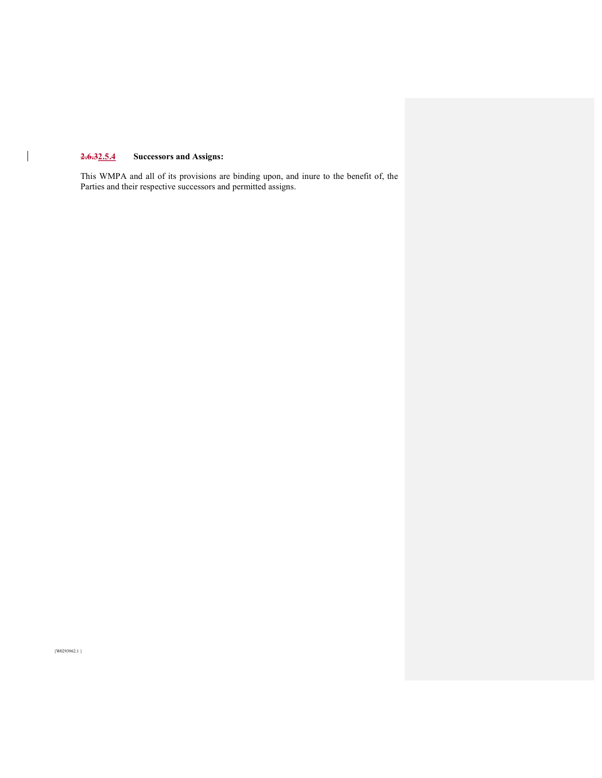# **2.6.32.5.4 Successors and Assigns:**

 $\begin{array}{c} \hline \end{array}$ 

This WMPA and all of its provisions are binding upon, and inure to the benefit of, the Parties and their respective successors and permitted assigns.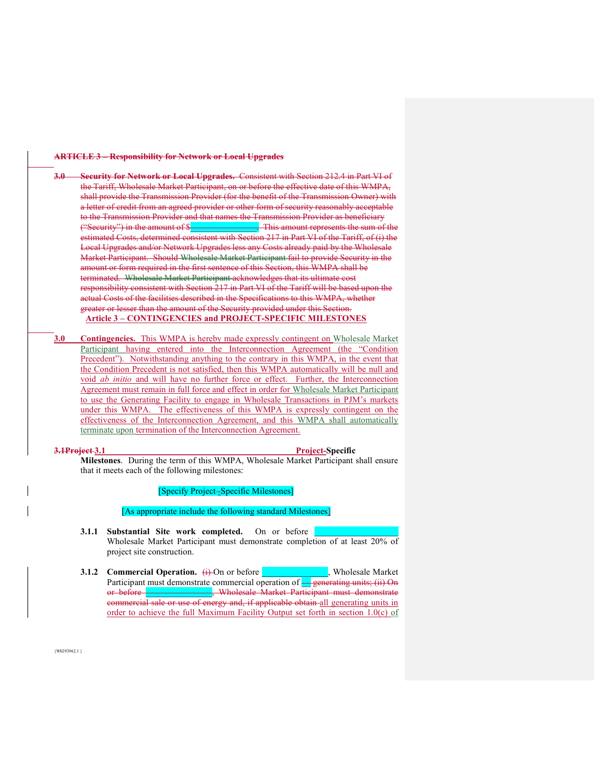#### **ARTICLE 3 – Responsibility for Network or Local Upgrades**

**3.0 Security for Network or Local Upgrades.** Consistent with Section 212.4 in Part VI of the Tariff, Wholesale Market Participant, on or before the effective date of this WMPA, shall provide the Transmission Provider (for the benefit of the Transmission Owner) with a letter of credit from an agreed provider or other form of security reasonably acceptable to the Transmission Provider and that names the Transmission Provider as beneficiary ("Security") in the amount of \$\_\_\_\_\_\_\_\_\_\_\_\_\_\_\_. This amount represents the sum of the estimated Costs, determined consistent with Section 217 in Part VI of the Tariff, of (i) the Local Upgrades and/or Network Upgrades less any Costs already paid by the Wholesale Market Participant. Should Wholesale Market Participant fail to provide Security in the amount or form required in the first sentence of this Section, this WMPA shall be terminated. Wholesale Market Participant acknowledges that its ultimate cost responsibility consistent with Section 217 in Part VI of the Tariff will be based upon the actual Costs of the facilities described in the Specifications to this WMPA, whether greater or lesser than the amount of the Security provided under this Section. **Article 3 – CONTINGENCIES and PROJECT-SPECIFIC MILESTONES** 

**3.0 Contingencies.** This WMPA is hereby made expressly contingent on Wholesale Market Participant having entered into the Interconnection Agreement (the "Condition Precedent"). Notwithstanding anything to the contrary in this WMPA, in the event that the Condition Precedent is not satisfied, then this WMPA automatically will be null and void *ab initio* and will have no further force or effect. Further, the Interconnection Agreement must remain in full force and effect in order for Wholesale Market Participant to use the Generating Facility to engage in Wholesale Transactions in PJM's markets under this WMPA. The effectiveness of this WMPA is expressly contingent on the effectiveness of the Interconnection Agreement, and this WMPA shall automatically terminate upon termination of the Interconnection Agreement.

#### **3.1Project 3.1 Project-Specific**

**Milestones**. During the term of this WMPA, Wholesale Market Participant shall ensure that it meets each of the following milestones:

[Specify Project-Specific Milestones]

#### [As appropriate include the following standard Milestones]

- **3.1.1 Substantial Site work completed.** On or before Wholesale Market Participant must demonstrate completion of at least 20% of project site construction.
- **3.1.2 Commercial Operation.** (i) On or before **Research 2.1.2 Commercial Operation.** (i) On or before Participant must demonstrate commercial operation of <u>equal generating units; (ii)</u> On or before **\_\_\_\_\_\_\_\_\_\_\_\_\_\_**, Wholesale Market Participant must demonstrate commercial sale or use of energy and, if applicable obtain all generating units in order to achieve the full Maximum Facility Output set forth in section 1.0(c) of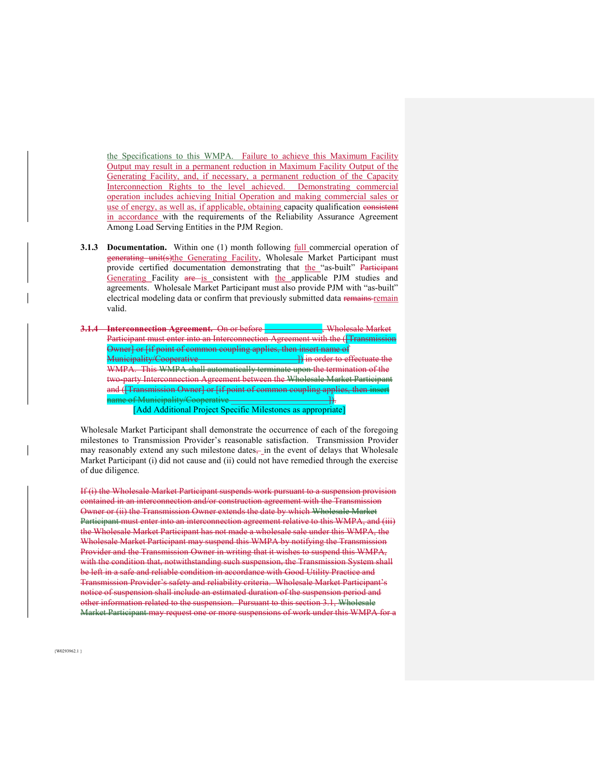the Specifications to this WMPA. Failure to achieve this Maximum Facility Output may result in a permanent reduction in Maximum Facility Output of the Generating Facility, and, if necessary, a permanent reduction of the Capacity Interconnection Rights to the level achieved. Demonstrating commercial operation includes achieving Initial Operation and making commercial sales or use of energy, as well as, if applicable, obtaining capacity qualification consistent in accordance with the requirements of the Reliability Assurance Agreement Among Load Serving Entities in the PJM Region.

- **3.1.3 Documentation.** Within one (1) month following full commercial operation of generating unit(s)the Generating Facility, Wholesale Market Participant must provide certified documentation demonstrating that the "as-built" Participant Generating Facility are is consistent with the applicable PJM studies and agreements. Wholesale Market Participant must also provide PJM with "as-built" electrical modeling data or confirm that previously submitted data remains remain valid.
- **3.1.4 Interconnection Agreement.** On or before \_\_\_\_\_\_\_\_\_\_\_\_\_, Wholesale Market Participant must enter into an Interconnection Agreement with the (*[Transmission* Owner] or [if point of common coupling applies, then insert name of Municipality/Cooperative \_\_\_\_\_\_\_\_\_\_\_\_\_\_\_\_\_\_\_\_\_\_]) in order to effectuate the WMPA. This WMPA shall automatically terminate upon the termination of the two-party Interconnection Agreement between the Wholesale Market Participant and ([Transmission Owner] or [if point of common coupling applies, then insert name of Municipality/Cooperative \_\_\_\_\_\_\_\_\_\_\_\_\_\_\_\_\_\_\_\_\_\_]).

[Add Additional Project Specific Milestones as appropriate]

Wholesale Market Participant shall demonstrate the occurrence of each of the foregoing milestones to Transmission Provider's reasonable satisfaction. Transmission Provider may reasonably extend any such milestone dates $\frac{1}{2}$  in the event of delays that Wholesale Market Participant (i) did not cause and (ii) could not have remedied through the exercise of due diligence.

If (i) the Wholesale Market Participant suspends work pursuant to a suspension provision contained in an interconnection and/or construction agreement with the Transmission Owner or (ii) the Transmission Owner extends the date by which Wholesale Market Participant must enter into an interconnection agreement relative to this WMPA, and (iii) the Wholesale Market Participant has not made a wholesale sale under this WMPA, the Wholesale Market Participant may suspend this WMPA by notifying the Transmission Provider and the Transmission Owner in writing that it wishes to suspend this WMPA, with the condition that, notwithstanding such suspension, the Transmission System shall be left in a safe and reliable condition in accordance with Good Utility Practice and Transmission Provider's safety and reliability criteria. Wholesale Market Participant's notice of suspension shall include an estimated duration of the suspension period and other information related to the suspension. Pursuant to this section 3.1, Wholesale Market Participant may request one or more suspensions of work under this WMPA for a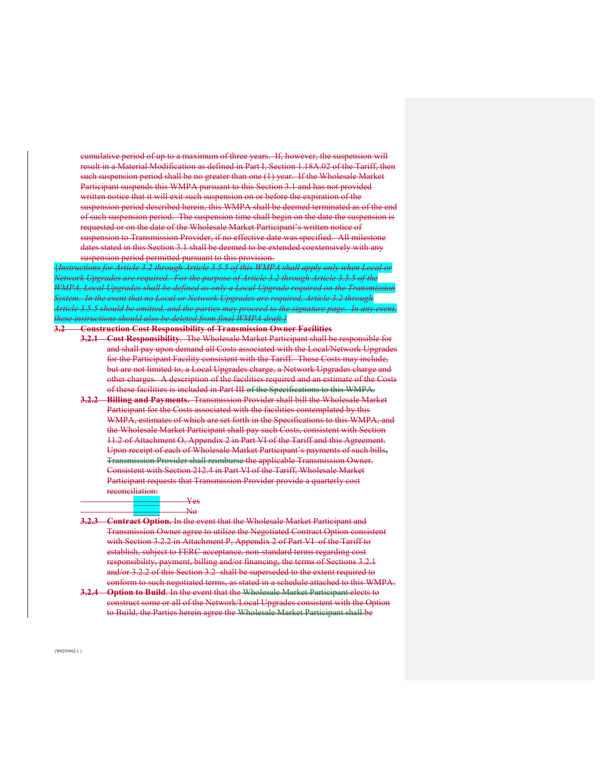cumulative period of up to a maximum of three years. If, however, the suspension will result in a Material Modification as defined in Part I, Section 1.18A.02 of the Tariff, then such suspension period shall be no greater than one (1) year. If the Wholesale Market Participant suspends this WMPA pursuant to this Section 3.1 and has not provided written notice that it will exit such suspension on or before the expiration of the suspension period described herein, this WMPA shall be deemed terminated as of the end of such suspension period. The suspension time shall begin on the date the suspension is requested or on the date of the Wholesale Market Participant's written notice of suspension to Transmission Provider, if no effective date was specified. All milestone dates stated in this Section 3.1 shall be deemed to be extended coextensively with any suspension period permitted pursuant to this provision.

{*Instructions for Article 3.2 through Article 3.5.5 of this WMPA shall apply only when Local or Network Upgrades are required. For the purpose of Article 3.2 through Article 3.5.5 of the WMPA, Local Upgrades shall be defined as only a Local Upgrade required on the Transmission System. In the event that no Local or Network Upgrades are required, Article 3.2 through Article 3.5.5 should be omitted, and the parties may proceed to the signature page. In any event, these instructions should also be deleted from final WMPA draft.}* 

#### **3.2 Construction Cost Responsibility of Transmission Owner Facilities**

- **3.2.1 Cost Responsibility**. The Wholesale Market Participant shall be responsible for and shall pay upon demand all Costs associated with the Local/Network Upgrades for the Participant Facility consistent with the Tariff. These Costs may include, but are not limited to, a Local Upgrades charge, a Network Upgrades charge and other charges. A description of the facilities required and an estimate of the Costs of these facilities is included in Part III of the Specifications to this WMPA.
- **3.2.2 Billing and Payments.** Transmission Provider shall bill the Wholesale Market Participant for the Costs associated with the facilities contemplated by this WMPA, estimates of which are set forth in the Specifications to this WMPA, and the Wholesale Market Participant shall pay such Costs, consistent with Section 11.2 of Attachment O, Appendix 2 in Part VI of the Tariff and this Agreement. Upon receipt of each of Wholesale Market Participant's payments of such bills, Transmission Provider shall reimburse the applicable Transmission Owner. Consistent with Section 212.4 in Part VI of the Tariff, Wholesale Market Participant requests that Transmission Provider provide a quarterly cost ۔<br>rea<del>tion:</del>

| . |                 |
|---|-----------------|
|   | <del>r es</del> |
|   |                 |
|   |                 |
|   | $\mathbf{r}$    |

**3.2.3 Contract Option.** In the event that the Wholesale Market Participant and Transmission Owner agree to utilize the Negotiated Contract Option consistent with Section 3.2.2 in Attachment P, Appendix 2 of Part VI of the Tariff to establish, subject to FERC acceptance, non-standard terms regarding cost responsibility, payment, billing and/or financing, the terms of Sections 3.2.1 and/or 3.2.2 of this Section 3.2 shall be superseded to the extent required to conform to such negotiated terms, as stated in a schedule attached to this WMPA.

**3.2.4 Option to Build**. In the event that the Wholesale Market Participant elects to construct some or all of the Network/Local Upgrades consistent with the Option to Build, the Parties herein agree the Wholesale Market Participant shall be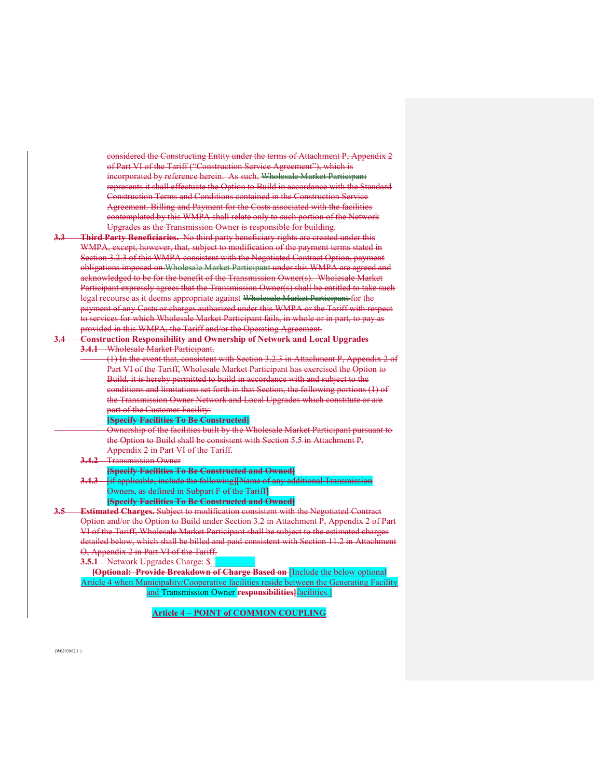considered the Constructing Entity under the terms of Attachment P, Appendix 2 of Part VI of the Tariff ("Construction Service Agreement"), which is incorporated by reference herein. As such, Wholesale Market Participant represents it shall effectuate the Option to Build in accordance with the Standard Construction Terms and Conditions contained in the Construction Service Agreement. Billing and Payment for the Costs associated with the facilities contemplated by this WMPA shall relate only to such portion of the Network Upgrades as the Transmission Owner is responsible for building.

**3.3 Third Party Beneficiaries.** No third party beneficiary rights are created under this WMPA, except, however, that, subject to modification of the payment terms stated in Section 3.2.3 of this WMPA consistent with the Negotiated Contract Option, payment obligations imposed on Wholesale Market Participant under this WMPA are agreed and acknowledged to be for the benefit of the Transmission Owner(s). Wholesale Market Participant expressly agrees that the Transmission Owner(s) shall be entitled to take such legal recourse as it deems appropriate against Wholesale Market Participant for the payment of any Costs or charges authorized under this WMPA or the Tariff with respect to services for which Wholesale Market Participant fails, in whole or in part, to pay as provided in this WMPA, the Tariff and/or the Operating Agreement.

**3.4 Construction Responsibility and Ownership of Network and Local Upgrades 3.4.1** Wholesale Market Participant.

> (1) In the event that, consistent with Section 3.2.3 in Attachment P, Appendix 2 of Part VI of the Tariff, Wholesale Market Participant has exercised the Option to Build, it is hereby permitted to build in accordance with and subject to the conditions and limitations set forth in that Section, the following portions (1) of the Transmission Owner Network and Local Upgrades which constitute or are part of the Customer Facility:

#### **[Specify Facilities To Be Constructed]**

 Ownership of the facilities built by the Wholesale Market Participant pursuant to the Option to Build shall be consistent with Section 5.5 in Attachment P, Appendix 2 in Part VI of the Tariff.

**3.4.2** Transmission Owner

**[Specify Facilities To Be Constructed and Owned]** 

**3.4.3** [if applicable, include the following][Name of any additional Transmission Owners, as defined in Subpart F of the Tariff]

## **[Specify Facilities To Be Constructed and Owned]**

**Estimated Charges.** Subject to modification consistent with the Negotiated Contract Option and/or the Option to Build under Section 3.2 in Attachment P, Appendix 2 of Part VI of the Tariff, Wholesale Market Participant shall be subject to the estimated charges detailed below, which shall be billed and paid consistent with Section 11.2 in Attachment O, Appendix 2 in Part VI of the Tariff.

**3.5.1** Network Upgrades Charge: \$

**[Optional: Provide Breakdown of Charge Based on** [Include the below optional Article 4 when Municipality/Cooperative facilities reside between the Generating Facility and Transmission Owner **responsibilities]**facilities.]

#### **Article 4 – POINT of COMMON COUPLING**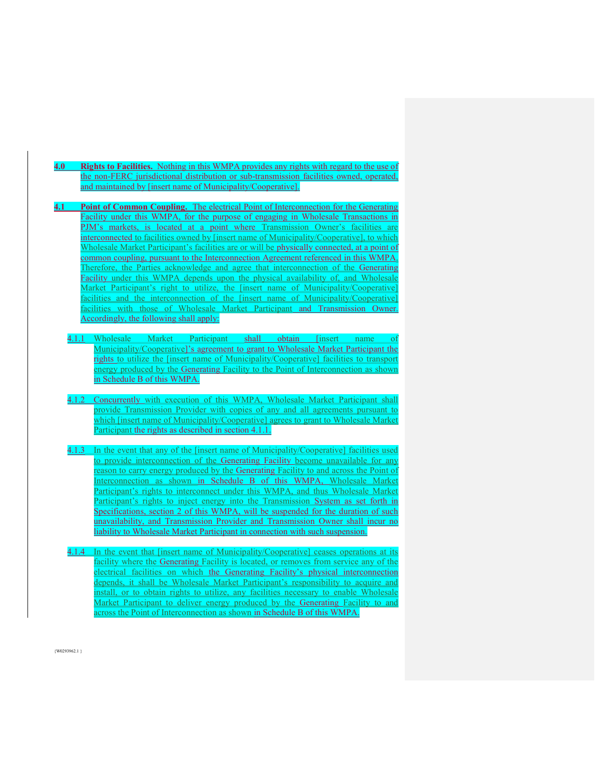- **4.0 Rights to Facilities.** Nothing in this WMPA provides any rights with regard to the use of the non-FERC jurisdictional distribution or sub-transmission facilities owned, operated, and maintained by [insert name of Municipality/Cooperative].
- **4.1 Point of Common Coupling.** The electrical Point of Interconnection for the Generating Facility under this WMPA, for the purpose of engaging in Wholesale Transactions in PJM's markets, is located at a point where Transmission Owner's facilities are interconnected to facilities owned by [insert name of Municipality/Cooperative], to which Wholesale Market Participant's facilities are or will be physically connected, at a point of common coupling, pursuant to the Interconnection Agreement referenced in this WMPA. Therefore, the Parties acknowledge and agree that interconnection of the Generating Facility under this WMPA depends upon the physical availability of, and Wholesale Market Participant's right to utilize, the [insert name of Municipality/Cooperative] facilities and the interconnection of the [insert name of Municipality/Cooperative] facilities with those of Wholesale Market Participant and Transmission Owner. Accordingly, the following shall apply:
	- 4.1.1 Wholesale Market Participant shall obtain [insert name of Municipality/Cooperative]'s agreement to grant to Wholesale Market Participant the rights to utilize the [insert name of Municipality/Cooperative] facilities to transport energy produced by the Generating Facility to the Point of Interconnection as shown in Schedule B of this WMPA.
	- 4.1.2 Concurrently with execution of this WMPA, Wholesale Market Participant shall provide Transmission Provider with copies of any and all agreements pursuant to which [insert name of Municipality/Cooperative] agrees to grant to Wholesale Market Participant the rights as described in section 4.1.1.
	- 4.1.3 In the event that any of the [insert name of Municipality/Cooperative] facilities used to provide interconnection of the Generating Facility become unavailable for any reason to carry energy produced by the Generating Facility to and across the Point of Interconnection as shown in Schedule B of this WMPA, Wholesale Market Participant's rights to interconnect under this WMPA, and thus Wholesale Market Participant's rights to inject energy into the Transmission System as set forth in Specifications, section 2 of this WMPA, will be suspended for the duration of such unavailability, and Transmission Provider and Transmission Owner shall incur no liability to Wholesale Market Participant in connection with such suspension.
	- 4.1.4 In the event that [insert name of Municipality/Cooperative] ceases operations at its facility where the Generating Facility is located, or removes from service any of the electrical facilities on which the Generating Facility's physical interconnection depends, it shall be Wholesale Market Participant's responsibility to acquire and install, or to obtain rights to utilize, any facilities necessary to enable Wholesale Market Participant to deliver energy produced by the Generating Facility to and across the Point of Interconnection as shown in Schedule B of this WMPA.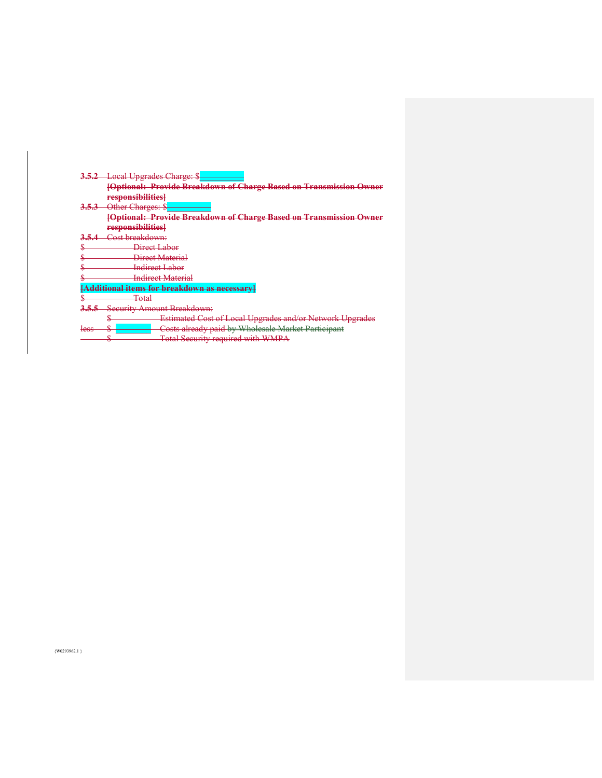|      | <b>Local Upgrades Charge: \$</b>                                   |
|------|--------------------------------------------------------------------|
|      | [Optional: Provide Breakdown of Charge Based on Transmission Owner |
|      | responsibilities]                                                  |
|      | Other Charges: \$                                                  |
|      | [Optional: Provide Breakdown of Charge Based on Transmission Owner |
|      | responsibilities}                                                  |
|      | <del>Cost breakdown:</del>                                         |
| w    | Direct Labor                                                       |
|      | Direct Material                                                    |
|      | <b>Indirect Labor</b>                                              |
|      | <b>Indirect Material</b>                                           |
|      | <mark>onal items for breakdown as necessary</mark>                 |
|      | <del>Total</del>                                                   |
|      | <b>Security Amount Breakdown:</b>                                  |
|      | <b>Estimated Cost of Local Upgrades and/or Network Upgrades</b>    |
| less | Costs already paid by Wholesale Market Participant                 |
|      | Total Security required with WMPA                                  |

 $\{W0293962.1\}$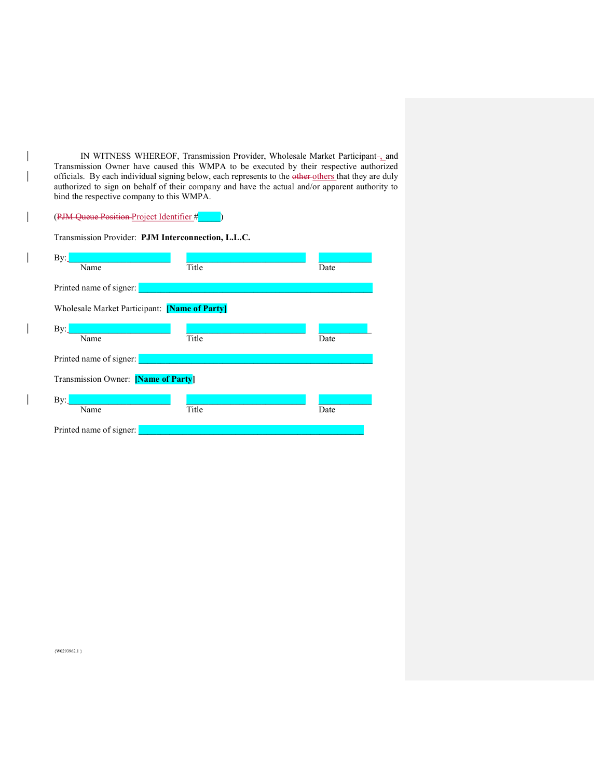IN WITNESS WHEREOF, Transmission Provider, Wholesale Market Participant-, and Transmission Owner have caused this WMPA to be executed by their respective authorized officials. By each individual signing below, each represents to the other others that they are duly authorized to sign on behalf of their company and have the actual and/or apparent authority to bind the respective company to this WMPA.

# (PJM Queue Position Project Identifier #\_\_\_\_\_)

 $\overline{\phantom{a}}$  $\overline{\phantom{a}}$ 

 $\overline{\phantom{a}}$ 

 $\overline{\phantom{a}}$ 

 $\overline{\phantom{a}}$ 

 $\overline{\phantom{a}}$ 

| Transmission Provider: PJM Interconnection, L.L.C. |       |      |  |  |
|----------------------------------------------------|-------|------|--|--|
| $\mathbf{By:}$                                     |       |      |  |  |
| Name                                               | Title | Date |  |  |
| Printed name of signer:                            |       |      |  |  |
| Wholesale Market Participant: [Name of Party]      |       |      |  |  |
| $\mathbf{By:}$                                     |       |      |  |  |
| Name                                               | Title | Date |  |  |
| Printed name of signer:                            |       |      |  |  |
| Transmission Owner: [Name of Party]                |       |      |  |  |
| $\mathbf{By:}$                                     |       |      |  |  |
| Name                                               | Title | Date |  |  |
| Printed name of signer:                            |       |      |  |  |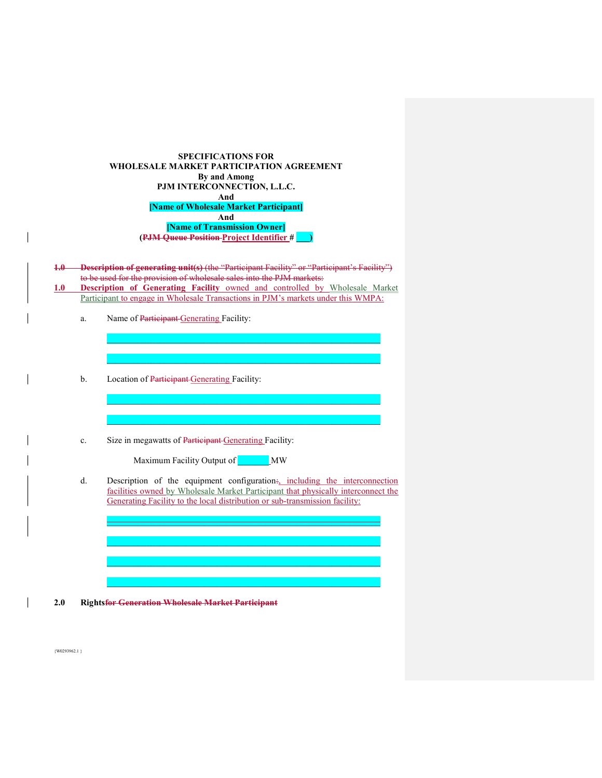| <b>SPECIFICATIONS FOR</b>                |
|------------------------------------------|
| WHOLESALE MARKET PARTICIPATION AGREEMENT |
| By and Among                             |
| PJM INTERCONNECTION, L.L.C.              |
| And                                      |
| [Name of Wholesale Market Participant]   |
| And                                      |
| [Name of Transmission Owner]             |
| (PJM Queue Position-Project Identifier # |

| <b>-Description of generating unit(s)</b> (the "Participant Facility" or "Participant's Facility") |
|----------------------------------------------------------------------------------------------------|
| to be used for the provision of wholesale sales into the PJM markets:                              |
| <b>Description of Generating Facility owned and controlled by Wholesale Market</b>                 |

Participant to engage in Wholesale Transactions in PJM's markets under this WMPA:

 $\mathcal{L}_\mathcal{L} = \mathcal{L}_\mathcal{L} = \mathcal{L}_\mathcal{L} = \mathcal{L}_\mathcal{L} = \mathcal{L}_\mathcal{L} = \mathcal{L}_\mathcal{L} = \mathcal{L}_\mathcal{L} = \mathcal{L}_\mathcal{L} = \mathcal{L}_\mathcal{L} = \mathcal{L}_\mathcal{L} = \mathcal{L}_\mathcal{L} = \mathcal{L}_\mathcal{L} = \mathcal{L}_\mathcal{L} = \mathcal{L}_\mathcal{L} = \mathcal{L}_\mathcal{L} = \mathcal{L}_\mathcal{L} = \mathcal{L}_\mathcal{L}$ 

 $\mathcal{L}_\mathcal{L} = \mathcal{L}_\mathcal{L} = \mathcal{L}_\mathcal{L} = \mathcal{L}_\mathcal{L} = \mathcal{L}_\mathcal{L} = \mathcal{L}_\mathcal{L} = \mathcal{L}_\mathcal{L} = \mathcal{L}_\mathcal{L} = \mathcal{L}_\mathcal{L} = \mathcal{L}_\mathcal{L} = \mathcal{L}_\mathcal{L} = \mathcal{L}_\mathcal{L} = \mathcal{L}_\mathcal{L} = \mathcal{L}_\mathcal{L} = \mathcal{L}_\mathcal{L} = \mathcal{L}_\mathcal{L} = \mathcal{L}_\mathcal{L}$ 

 $\mathcal{L}_\text{max} = \mathcal{L}_\text{max} = \mathcal{L}_\text{max} = \mathcal{L}_\text{max} = \mathcal{L}_\text{max} = \mathcal{L}_\text{max} = \mathcal{L}_\text{max} = \mathcal{L}_\text{max} = \mathcal{L}_\text{max} = \mathcal{L}_\text{max} = \mathcal{L}_\text{max} = \mathcal{L}_\text{max} = \mathcal{L}_\text{max} = \mathcal{L}_\text{max} = \mathcal{L}_\text{max} = \mathcal{L}_\text{max} = \mathcal{L}_\text{max} = \mathcal{L}_\text{max} = \mathcal{$ 

 $\mathcal{L}_\text{max} = \mathcal{L}_\text{max} = \mathcal{L}_\text{max} = \mathcal{L}_\text{max} = \mathcal{L}_\text{max} = \mathcal{L}_\text{max} = \mathcal{L}_\text{max} = \mathcal{L}_\text{max} = \mathcal{L}_\text{max} = \mathcal{L}_\text{max} = \mathcal{L}_\text{max} = \mathcal{L}_\text{max} = \mathcal{L}_\text{max} = \mathcal{L}_\text{max} = \mathcal{L}_\text{max} = \mathcal{L}_\text{max} = \mathcal{L}_\text{max} = \mathcal{L}_\text{max} = \mathcal{$ 

- a. Name of Participant Generating Facility:
- b. Location of Participant Generating Facility:
- c. Size in megawatts of Participant Generating Facility:

Maximum Facility Output of **WAMA** 

d. Description of the equipment configuration:, including the interconnection facilities owned by Wholesale Market Participant that physically interconnect the Generating Facility to the local distribution or sub-transmission facility:

\_\_\_\_\_\_\_\_\_\_\_\_\_\_\_\_\_\_\_\_\_\_\_\_\_\_\_\_\_\_\_\_\_\_\_\_\_\_\_\_\_\_\_\_\_\_\_\_\_\_\_\_\_\_\_\_\_\_\_\_\_\_  $\mathcal{L}_\text{max} = \mathcal{L}_\text{max} = \mathcal{L}_\text{max} = \mathcal{L}_\text{max} = \mathcal{L}_\text{max} = \mathcal{L}_\text{max} = \mathcal{L}_\text{max} = \mathcal{L}_\text{max} = \mathcal{L}_\text{max} = \mathcal{L}_\text{max} = \mathcal{L}_\text{max} = \mathcal{L}_\text{max} = \mathcal{L}_\text{max} = \mathcal{L}_\text{max} = \mathcal{L}_\text{max} = \mathcal{L}_\text{max} = \mathcal{L}_\text{max} = \mathcal{L}_\text{max} = \mathcal{$  $\mathcal{L}_\text{max} = \mathcal{L}_\text{max} = \mathcal{L}_\text{max} = \mathcal{L}_\text{max} = \mathcal{L}_\text{max} = \mathcal{L}_\text{max} = \mathcal{L}_\text{max} = \mathcal{L}_\text{max} = \mathcal{L}_\text{max} = \mathcal{L}_\text{max} = \mathcal{L}_\text{max} = \mathcal{L}_\text{max} = \mathcal{L}_\text{max} = \mathcal{L}_\text{max} = \mathcal{L}_\text{max} = \mathcal{L}_\text{max} = \mathcal{L}_\text{max} = \mathcal{L}_\text{max} = \mathcal{$  $\mathcal{L}_\mathcal{L} = \mathcal{L}_\mathcal{L} = \mathcal{L}_\mathcal{L} = \mathcal{L}_\mathcal{L} = \mathcal{L}_\mathcal{L} = \mathcal{L}_\mathcal{L} = \mathcal{L}_\mathcal{L} = \mathcal{L}_\mathcal{L} = \mathcal{L}_\mathcal{L} = \mathcal{L}_\mathcal{L} = \mathcal{L}_\mathcal{L} = \mathcal{L}_\mathcal{L} = \mathcal{L}_\mathcal{L} = \mathcal{L}_\mathcal{L} = \mathcal{L}_\mathcal{L} = \mathcal{L}_\mathcal{L} = \mathcal{L}_\mathcal{L}$ 

**2.0 Rightsfor Generation Wholesale Market Participant**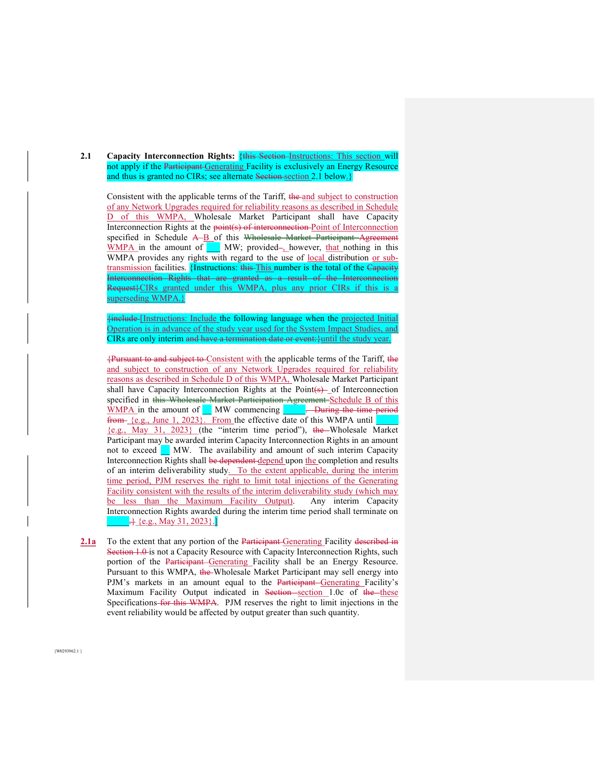**2.1** Capacity Interconnection Rights: {this Section Instructions: This section will not apply if the Participant Generating Facility is exclusively an Energy Resource and thus is granted no CIRs; see alternate Section section 2.1 below.

Consistent with the applicable terms of the Tariff, the and subject to construction of any Network Upgrades required for reliability reasons as described in Schedule D of this WMPA, Wholesale Market Participant shall have Capacity Interconnection Rights at the point(s) of interconnection Point of Interconnection specified in Schedule A-B of this Wholesale Market Participant Agreement WMPA in the amount of **WAM**; provided-, however, that nothing in this WMPA provides any rights with regard to the use of local distribution or subtransmission facilities. {Instructions: this This number is the total of the Capacity Interconnection Rights that are granted as a result of the Interconnection Request<sup>{{2}</sup>CIRs granted under this WMPA, plus any prior CIRs if this is a superseding WMPA.}

{include [Instructions: Include the following language when the projected Initial Operation is in advance of the study year used for the System Impact Studies, and CIRs are only interim and have a termination date or event: } until the study year.

{Pursuant to and subject to Consistent with the applicable terms of the Tariff, the and subject to construction of any Network Upgrades required for reliability reasons as described in Schedule D of this WMPA, Wholesale Market Participant shall have Capacity Interconnection Rights at the Point $(s)$  of Interconnection specified in this Wholesale Market Participation Agreement Schedule B of this WMPA in the amount of MW commencing **DE**. During the time period from {e.g., June 1, 2023}. From the effective date of this WMPA until {e.g., May 31, 2023} (the "interim time period"), the Wholesale Market Participant may be awarded interim Capacity Interconnection Rights in an amount not to exceed MW. The availability and amount of such interim Capacity Interconnection Rights shall be dependent depend upon the completion and results of an interim deliverability study. To the extent applicable, during the interim time period, PJM reserves the right to limit total injections of the Generating Facility consistent with the results of the interim deliverability study (which may be less than the Maximum Facility Output). Any interim Capacity Interconnection Rights awarded during the interim time period shall terminate on  $\frac{1}{2}$  {e.g., May 31, 2023}.]

**2.1a** To the extent that any portion of the Participant-Generating Facility described in Section 1.0 is not a Capacity Resource with Capacity Interconnection Rights, such portion of the Participant Generating Facility shall be an Energy Resource. Pursuant to this WMPA, the Wholesale Market Participant may sell energy into PJM's markets in an amount equal to the Participant Generating Facility's Maximum Facility Output indicated in Section section 1.0c of the these Specifications for this WMPA. PJM reserves the right to limit injections in the event reliability would be affected by output greater than such quantity.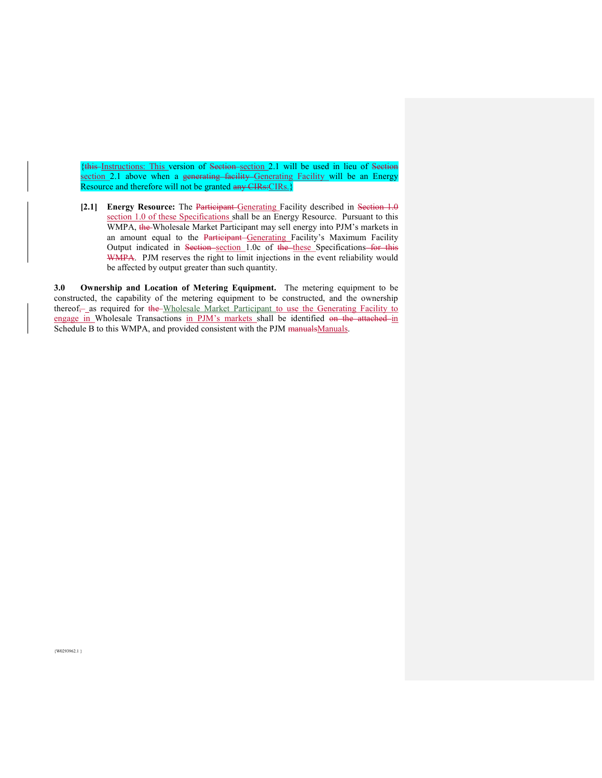{this Instructions: This version of Section section 2.1 will be used in lieu of Section section 2.1 above when a generating facility Generating Facility will be an Energy Resource and therefore will not be granted any CIRs: CIRs.}

**[2.1] Energy Resource:** The Participant Generating Facility described in Section 1.0 section 1.0 of these Specifications shall be an Energy Resource. Pursuant to this WMPA, the Wholesale Market Participant may sell energy into PJM's markets in an amount equal to the Participant Generating Facility's Maximum Facility Output indicated in Section section 1.0c of the these Specifications for this WMPA. PJM reserves the right to limit injections in the event reliability would be affected by output greater than such quantity.

**3.0 Ownership and Location of Metering Equipment.** The metering equipment to be constructed, the capability of the metering equipment to be constructed, and the ownership thereof<sub>7</sub> as required for the Wholesale Market Participant to use the Generating Facility to engage in Wholesale Transactions in PJM's markets shall be identified on the attached in Schedule B to this WMPA, and provided consistent with the PJM manualsManuals.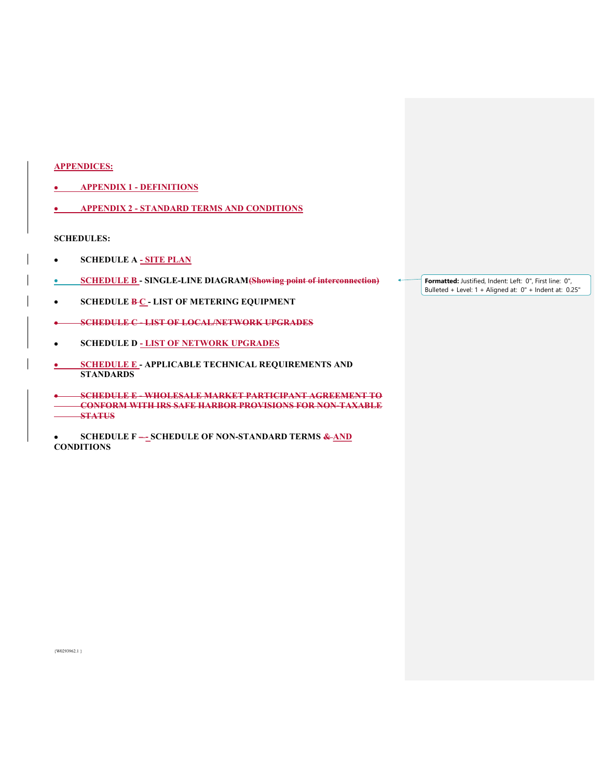## **APPENDICES:**

- x **APPENDIX 1 DEFINITIONS**
- x **APPENDIX 2 STANDARD TERMS AND CONDITIONS**

#### **SCHEDULES:**

- **•** SCHEDULE A <u>- SITE PLAN</u>
- **EXAMPLE B SINGLE-LINE DIAGRAM (Showing point of interconnection)**
- **SCHEDULE B-C LIST OF METERING EQUIPMENT**
- x **SCHEDULE C LIST OF LOCAL/NETWORK UPGRADES**
- x **SCHEDULE D LIST OF NETWORK UPGRADES**
- **SCHEDULE E APPLICABLE TECHNICAL REQUIREMENTS AND STANDARDS**
- x **SCHEDULE E WHOLESALE MARKET PARTICIPANT AGREEMENT TO CONFORM WITH IRS SAFE HARBOR PROVISIONS FOR NON-TAXABLE STATUS**
- **8 SCHEDULE F –\_ SCHEDULE OF NON-STANDARD TERMS & AND CONDITIONS**

**Formatted:** Justified, Indent: Left: 0", First line: 0", Bulleted + Level: 1 + Aligned at: 0" + Indent at: 0.25"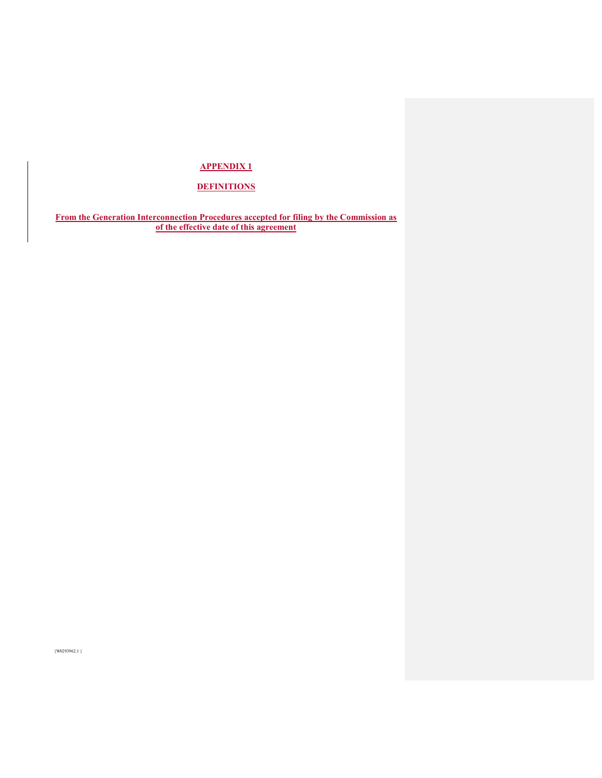# **APPENDIX 1**

# **DEFINITIONS**

**From the Generation Interconnection Procedures accepted for filing by the Commission as of the effective date of this agreement**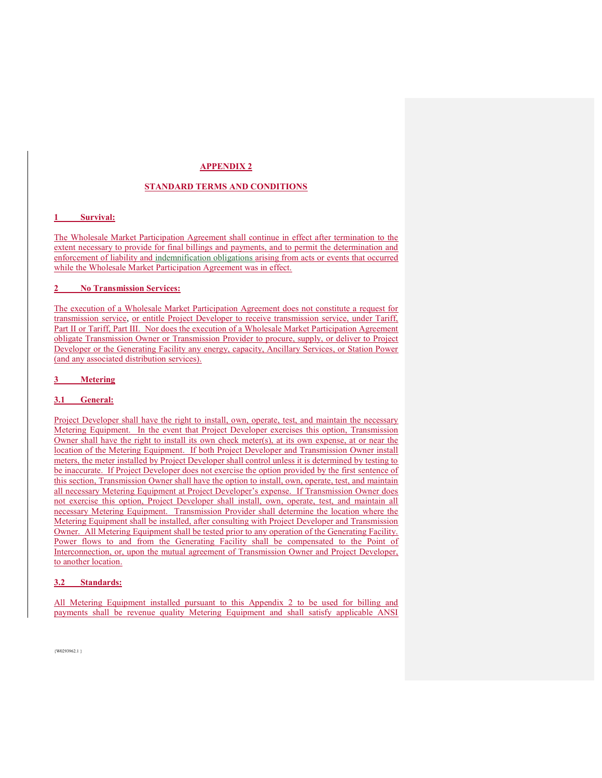#### **APPENDIX 2**

#### **STANDARD TERMS AND CONDITIONS**

#### **1 Survival:**

The Wholesale Market Participation Agreement shall continue in effect after termination to the extent necessary to provide for final billings and payments, and to permit the determination and enforcement of liability and indemnification obligations arising from acts or events that occurred while the Wholesale Market Participation Agreement was in effect.

#### **2 No Transmission Services:**

The execution of a Wholesale Market Participation Agreement does not constitute a request for transmission service, or entitle Project Developer to receive transmission service, under Tariff, Part II or Tariff, Part III. Nor does the execution of a Wholesale Market Participation Agreement obligate Transmission Owner or Transmission Provider to procure, supply, or deliver to Project Developer or the Generating Facility any energy, capacity, Ancillary Services, or Station Power (and any associated distribution services).

#### **3 Metering**

#### **3.1 General:**

Project Developer shall have the right to install, own, operate, test, and maintain the necessary Metering Equipment. In the event that Project Developer exercises this option, Transmission Owner shall have the right to install its own check meter(s), at its own expense, at or near the location of the Metering Equipment. If both Project Developer and Transmission Owner install meters, the meter installed by Project Developer shall control unless it is determined by testing to be inaccurate. If Project Developer does not exercise the option provided by the first sentence of this section, Transmission Owner shall have the option to install, own, operate, test, and maintain all necessary Metering Equipment at Project Developer's expense. If Transmission Owner does not exercise this option, Project Developer shall install, own, operate, test, and maintain all necessary Metering Equipment. Transmission Provider shall determine the location where the Metering Equipment shall be installed, after consulting with Project Developer and Transmission Owner. All Metering Equipment shall be tested prior to any operation of the Generating Facility. Power flows to and from the Generating Facility shall be compensated to the Point of Interconnection, or, upon the mutual agreement of Transmission Owner and Project Developer, to another location.

#### **3.2 Standards:**

All Metering Equipment installed pursuant to this Appendix 2 to be used for billing and payments shall be revenue quality Metering Equipment and shall satisfy applicable ANSI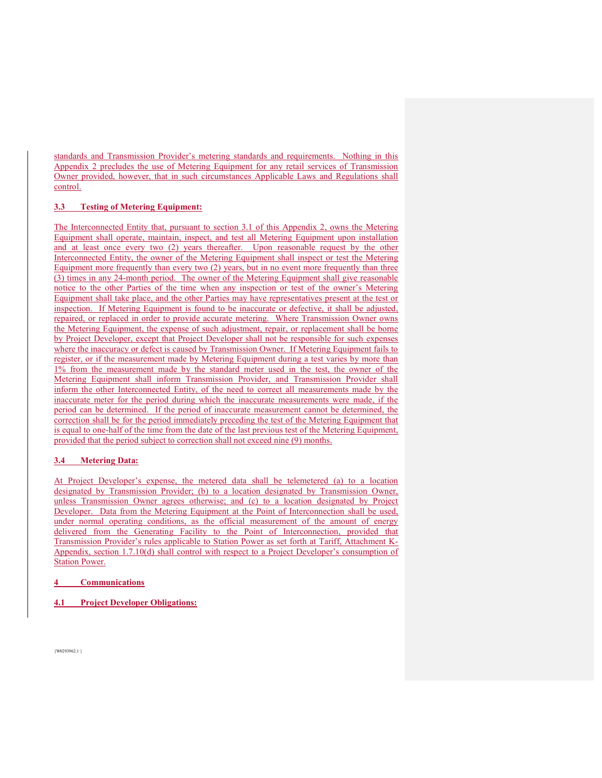standards and Transmission Provider's metering standards and requirements. Nothing in this Appendix 2 precludes the use of Metering Equipment for any retail services of Transmission Owner provided, however, that in such circumstances Applicable Laws and Regulations shall control.

## **3.3 Testing of Metering Equipment:**

The Interconnected Entity that, pursuant to section 3.1 of this Appendix 2, owns the Metering Equipment shall operate, maintain, inspect, and test all Metering Equipment upon installation and at least once every two (2) years thereafter. Upon reasonable request by the other Interconnected Entity, the owner of the Metering Equipment shall inspect or test the Metering Equipment more frequently than every two (2) years, but in no event more frequently than three (3) times in any 24-month period. The owner of the Metering Equipment shall give reasonable notice to the other Parties of the time when any inspection or test of the owner's Metering Equipment shall take place, and the other Parties may have representatives present at the test or inspection. If Metering Equipment is found to be inaccurate or defective, it shall be adjusted, repaired, or replaced in order to provide accurate metering. Where Transmission Owner owns the Metering Equipment, the expense of such adjustment, repair, or replacement shall be borne by Project Developer, except that Project Developer shall not be responsible for such expenses where the inaccuracy or defect is caused by Transmission Owner. If Metering Equipment fails to register, or if the measurement made by Metering Equipment during a test varies by more than 1% from the measurement made by the standard meter used in the test, the owner of the Metering Equipment shall inform Transmission Provider, and Transmission Provider shall inform the other Interconnected Entity, of the need to correct all measurements made by the inaccurate meter for the period during which the inaccurate measurements were made, if the period can be determined. If the period of inaccurate measurement cannot be determined, the correction shall be for the period immediately preceding the test of the Metering Equipment that is equal to one-half of the time from the date of the last previous test of the Metering Equipment, provided that the period subject to correction shall not exceed nine (9) months.

#### **3.4 Metering Data:**

At Project Developer's expense, the metered data shall be telemetered (a) to a location designated by Transmission Provider; (b) to a location designated by Transmission Owner, unless Transmission Owner agrees otherwise; and (c) to a location designated by Project Developer. Data from the Metering Equipment at the Point of Interconnection shall be used, under normal operating conditions, as the official measurement of the amount of energy delivered from the Generating Facility to the Point of Interconnection, provided that Transmission Provider's rules applicable to Station Power as set forth at Tariff, Attachment K-Appendix, section 1.7.10(d) shall control with respect to a Project Developer's consumption of Station Power.

**4 Communications** 

**4.1 Project Developer Obligations:**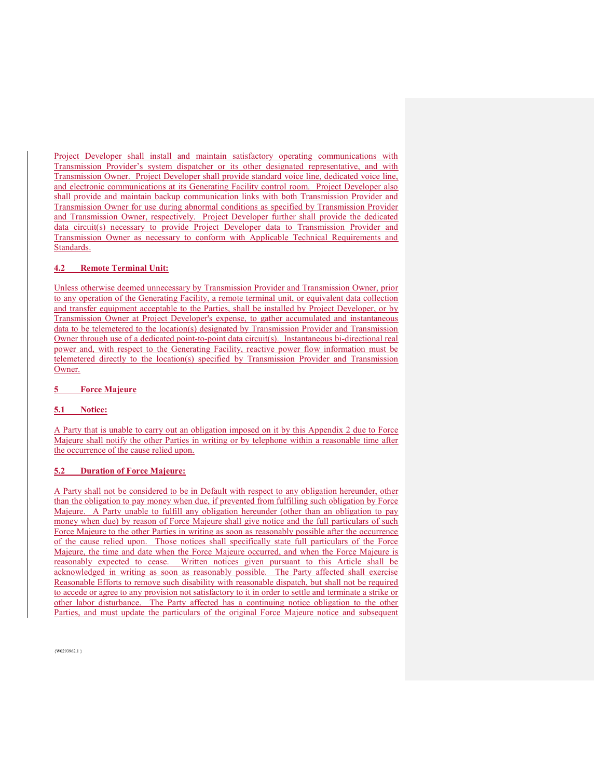Project Developer shall install and maintain satisfactory operating communications with Transmission Provider's system dispatcher or its other designated representative, and with Transmission Owner. Project Developer shall provide standard voice line, dedicated voice line, and electronic communications at its Generating Facility control room. Project Developer also shall provide and maintain backup communication links with both Transmission Provider and Transmission Owner for use during abnormal conditions as specified by Transmission Provider and Transmission Owner, respectively. Project Developer further shall provide the dedicated data circuit(s) necessary to provide Project Developer data to Transmission Provider and Transmission Owner as necessary to conform with Applicable Technical Requirements and Standards.

## **4.2 Remote Terminal Unit:**

Unless otherwise deemed unnecessary by Transmission Provider and Transmission Owner, prior to any operation of the Generating Facility, a remote terminal unit, or equivalent data collection and transfer equipment acceptable to the Parties, shall be installed by Project Developer, or by Transmission Owner at Project Developer's expense, to gather accumulated and instantaneous data to be telemetered to the location(s) designated by Transmission Provider and Transmission Owner through use of a dedicated point-to-point data circuit(s). Instantaneous bi-directional real power and, with respect to the Generating Facility, reactive power flow information must be telemetered directly to the location(s) specified by Transmission Provider and Transmission Owner.

**5 Force Majeure** 

#### **5.1 Notice:**

A Party that is unable to carry out an obligation imposed on it by this Appendix 2 due to Force Majeure shall notify the other Parties in writing or by telephone within a reasonable time after the occurrence of the cause relied upon.

#### **5.2 Duration of Force Majeure:**

A Party shall not be considered to be in Default with respect to any obligation hereunder, other than the obligation to pay money when due, if prevented from fulfilling such obligation by Force Majeure. A Party unable to fulfill any obligation hereunder (other than an obligation to pay money when due) by reason of Force Majeure shall give notice and the full particulars of such Force Majeure to the other Parties in writing as soon as reasonably possible after the occurrence of the cause relied upon. Those notices shall specifically state full particulars of the Force Majeure, the time and date when the Force Majeure occurred, and when the Force Majeure is reasonably expected to cease. Written notices given pursuant to this Article shall be acknowledged in writing as soon as reasonably possible. The Party affected shall exercise Reasonable Efforts to remove such disability with reasonable dispatch, but shall not be required to accede or agree to any provision not satisfactory to it in order to settle and terminate a strike or other labor disturbance. The Party affected has a continuing notice obligation to the other Parties, and must update the particulars of the original Force Majeure notice and subsequent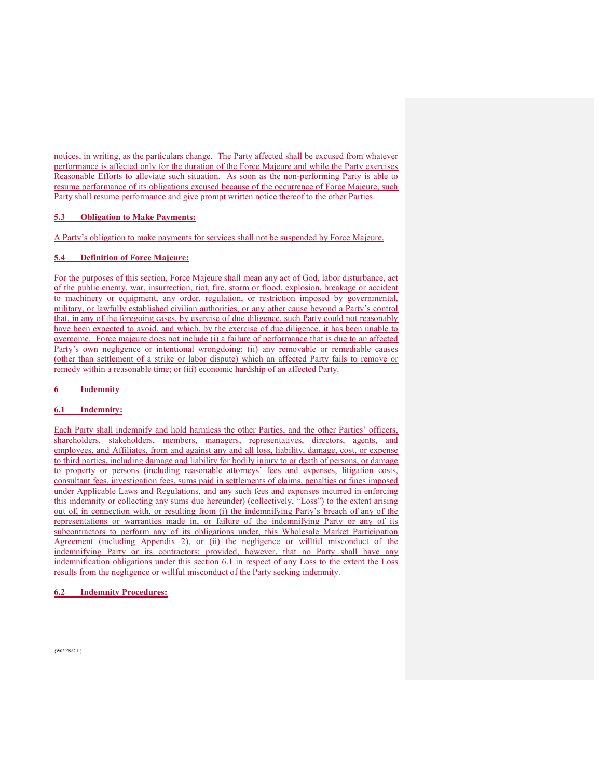notices, in writing, as the particulars change. The Party affected shall be excused from whatever performance is affected only for the duration of the Force Majeure and while the Party exercises Reasonable Efforts to alleviate such situation. As soon as the non-performing Party is able to resume performance of its obligations excused because of the occurrence of Force Majeure, such Party shall resume performance and give prompt written notice thereof to the other Parties.

#### **5.3 Obligation to Make Payments:**

A Party's obligation to make payments for services shall not be suspended by Force Majeure.

#### **5.4 Definition of Force Majeure:**

For the purposes of this section, Force Majeure shall mean any act of God, labor disturbance, act of the public enemy, war, insurrection, riot, fire, storm or flood, explosion, breakage or accident to machinery or equipment, any order, regulation, or restriction imposed by governmental, military, or lawfully established civilian authorities, or any other cause beyond a Party's control that, in any of the foregoing cases, by exercise of due diligence, such Party could not reasonably have been expected to avoid, and which, by the exercise of due diligence, it has been unable to overcome. Force majeure does not include (i) a failure of performance that is due to an affected Party's own negligence or intentional wrongdoing; (ii) any removable or remediable causes (other than settlement of a strike or labor dispute) which an affected Party fails to remove or remedy within a reasonable time; or (iii) economic hardship of an affected Party.

#### **6 Indemnity**

## **6.1 Indemnity:**

Each Party shall indemnify and hold harmless the other Parties, and the other Parties' officers, shareholders, stakeholders, members, managers, representatives, directors, agents, and employees, and Affiliates, from and against any and all loss, liability, damage, cost, or expense to third parties, including damage and liability for bodily injury to or death of persons, or damage to property or persons (including reasonable attorneys' fees and expenses, litigation costs, consultant fees, investigation fees, sums paid in settlements of claims, penalties or fines imposed under Applicable Laws and Regulations, and any such fees and expenses incurred in enforcing this indemnity or collecting any sums due hereunder) (collectively, "Loss") to the extent arising out of, in connection with, or resulting from (i) the indemnifying Party's breach of any of the representations or warranties made in, or failure of the indemnifying Party or any of its subcontractors to perform any of its obligations under, this Wholesale Market Participation Agreement (including Appendix 2), or (ii) the negligence or willful misconduct of the indemnifying Party or its contractors; provided, however, that no Party shall have any indemnification obligations under this section 6.1 in respect of any Loss to the extent the Loss results from the negligence or willful misconduct of the Party seeking indemnity.

#### **6.2 Indemnity Procedures:**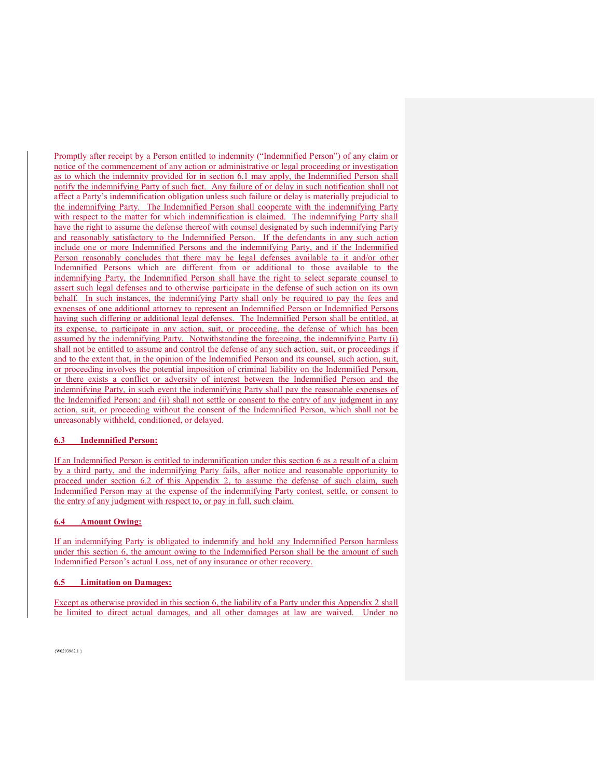Promptly after receipt by a Person entitled to indemnity ("Indemnified Person") of any claim or notice of the commencement of any action or administrative or legal proceeding or investigation as to which the indemnity provided for in section 6.1 may apply, the Indemnified Person shall notify the indemnifying Party of such fact. Any failure of or delay in such notification shall not affect a Party's indemnification obligation unless such failure or delay is materially prejudicial to the indemnifying Party. The Indemnified Person shall cooperate with the indemnifying Party with respect to the matter for which indemnification is claimed. The indemnifying Party shall have the right to assume the defense thereof with counsel designated by such indemnifying Party and reasonably satisfactory to the Indemnified Person. If the defendants in any such action include one or more Indemnified Persons and the indemnifying Party, and if the Indemnified Person reasonably concludes that there may be legal defenses available to it and/or other Indemnified Persons which are different from or additional to those available to the indemnifying Party, the Indemnified Person shall have the right to select separate counsel to assert such legal defenses and to otherwise participate in the defense of such action on its own behalf. In such instances, the indemnifying Party shall only be required to pay the fees and expenses of one additional attorney to represent an Indemnified Person or Indemnified Persons having such differing or additional legal defenses. The Indemnified Person shall be entitled, at its expense, to participate in any action, suit, or proceeding, the defense of which has been assumed by the indemnifying Party. Notwithstanding the foregoing, the indemnifying Party (i) shall not be entitled to assume and control the defense of any such action, suit, or proceedings if and to the extent that, in the opinion of the Indemnified Person and its counsel, such action, suit, or proceeding involves the potential imposition of criminal liability on the Indemnified Person, or there exists a conflict or adversity of interest between the Indemnified Person and the indemnifying Party, in such event the indemnifying Party shall pay the reasonable expenses of the Indemnified Person; and (ii) shall not settle or consent to the entry of any judgment in any action, suit, or proceeding without the consent of the Indemnified Person, which shall not be unreasonably withheld, conditioned, or delayed.

#### **6.3 Indemnified Person:**

If an Indemnified Person is entitled to indemnification under this section 6 as a result of a claim by a third party, and the indemnifying Party fails, after notice and reasonable opportunity to proceed under section 6.2 of this Appendix 2, to assume the defense of such claim, such Indemnified Person may at the expense of the indemnifying Party contest, settle, or consent to the entry of any judgment with respect to, or pay in full, such claim.

#### **6.4 Amount Owing:**

If an indemnifying Party is obligated to indemnify and hold any Indemnified Person harmless under this section 6, the amount owing to the Indemnified Person shall be the amount of such Indemnified Person's actual Loss, net of any insurance or other recovery.

#### **6.5 Limitation on Damages:**

Except as otherwise provided in this section 6, the liability of a Party under this Appendix 2 shall be limited to direct actual damages, and all other damages at law are waived. Under no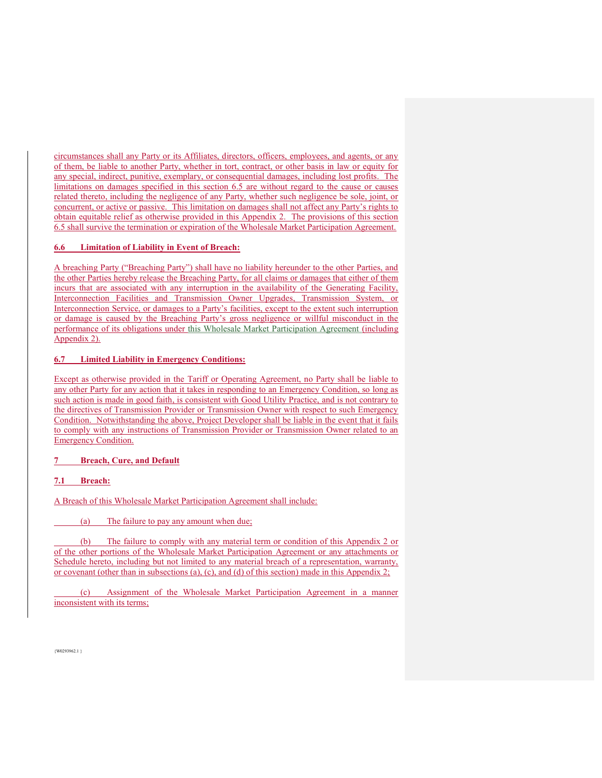circumstances shall any Party or its Affiliates, directors, officers, employees, and agents, or any of them, be liable to another Party, whether in tort, contract, or other basis in law or equity for any special, indirect, punitive, exemplary, or consequential damages, including lost profits. The limitations on damages specified in this section 6.5 are without regard to the cause or causes related thereto, including the negligence of any Party, whether such negligence be sole, joint, or concurrent, or active or passive. This limitation on damages shall not affect any Party's rights to obtain equitable relief as otherwise provided in this Appendix 2. The provisions of this section 6.5 shall survive the termination or expiration of the Wholesale Market Participation Agreement.

## **6.6 Limitation of Liability in Event of Breach:**

A breaching Party ("Breaching Party") shall have no liability hereunder to the other Parties, and the other Parties hereby release the Breaching Party, for all claims or damages that either of them incurs that are associated with any interruption in the availability of the Generating Facility, Interconnection Facilities and Transmission Owner Upgrades, Transmission System, or Interconnection Service, or damages to a Party's facilities, except to the extent such interruption or damage is caused by the Breaching Party's gross negligence or willful misconduct in the performance of its obligations under this Wholesale Market Participation Agreement (including Appendix 2).

#### **6.7 Limited Liability in Emergency Conditions:**

Except as otherwise provided in the Tariff or Operating Agreement, no Party shall be liable to any other Party for any action that it takes in responding to an Emergency Condition, so long as such action is made in good faith, is consistent with Good Utility Practice, and is not contrary to the directives of Transmission Provider or Transmission Owner with respect to such Emergency Condition. Notwithstanding the above, Project Developer shall be liable in the event that it fails to comply with any instructions of Transmission Provider or Transmission Owner related to an Emergency Condition.

#### **7 Breach, Cure, and Default**

#### **7.1 Breach:**

A Breach of this Wholesale Market Participation Agreement shall include:

(a) The failure to pay any amount when due;

 (b) The failure to comply with any material term or condition of this Appendix 2 or of the other portions of the Wholesale Market Participation Agreement or any attachments or Schedule hereto, including but not limited to any material breach of a representation, warranty, or covenant (other than in subsections (a), (c), and (d) of this section) made in this Appendix 2;

 (c) Assignment of the Wholesale Market Participation Agreement in a manner inconsistent with its terms;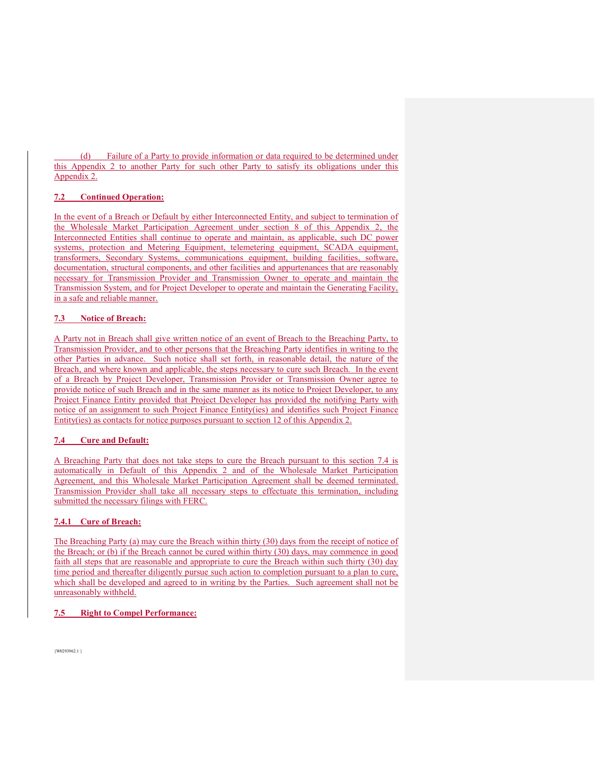(d) Failure of a Party to provide information or data required to be determined under this Appendix 2 to another Party for such other Party to satisfy its obligations under this Appendix 2.

## **7.2 Continued Operation:**

In the event of a Breach or Default by either Interconnected Entity, and subject to termination of the Wholesale Market Participation Agreement under section 8 of this Appendix 2, the Interconnected Entities shall continue to operate and maintain, as applicable, such DC power systems, protection and Metering Equipment, telemetering equipment, SCADA equipment, transformers, Secondary Systems, communications equipment, building facilities, software, documentation, structural components, and other facilities and appurtenances that are reasonably necessary for Transmission Provider and Transmission Owner to operate and maintain the Transmission System, and for Project Developer to operate and maintain the Generating Facility, in a safe and reliable manner.

## **7.3 Notice of Breach:**

A Party not in Breach shall give written notice of an event of Breach to the Breaching Party, to Transmission Provider, and to other persons that the Breaching Party identifies in writing to the other Parties in advance. Such notice shall set forth, in reasonable detail, the nature of the Breach, and where known and applicable, the steps necessary to cure such Breach. In the event of a Breach by Project Developer, Transmission Provider or Transmission Owner agree to provide notice of such Breach and in the same manner as its notice to Project Developer, to any Project Finance Entity provided that Project Developer has provided the notifying Party with notice of an assignment to such Project Finance Entity(ies) and identifies such Project Finance Entity(ies) as contacts for notice purposes pursuant to section 12 of this Appendix 2.

#### **7.4 Cure and Default:**

A Breaching Party that does not take steps to cure the Breach pursuant to this section 7.4 is automatically in Default of this Appendix 2 and of the Wholesale Market Participation Agreement, and this Wholesale Market Participation Agreement shall be deemed terminated. Transmission Provider shall take all necessary steps to effectuate this termination, including submitted the necessary filings with FERC.

## **7.4.1 Cure of Breach:**

The Breaching Party (a) may cure the Breach within thirty (30) days from the receipt of notice of the Breach; or (b) if the Breach cannot be cured within thirty (30) days, may commence in good faith all steps that are reasonable and appropriate to cure the Breach within such thirty (30) day time period and thereafter diligently pursue such action to completion pursuant to a plan to cure, which shall be developed and agreed to in writing by the Parties. Such agreement shall not be unreasonably withheld.

## **7.5 Right to Compel Performance:**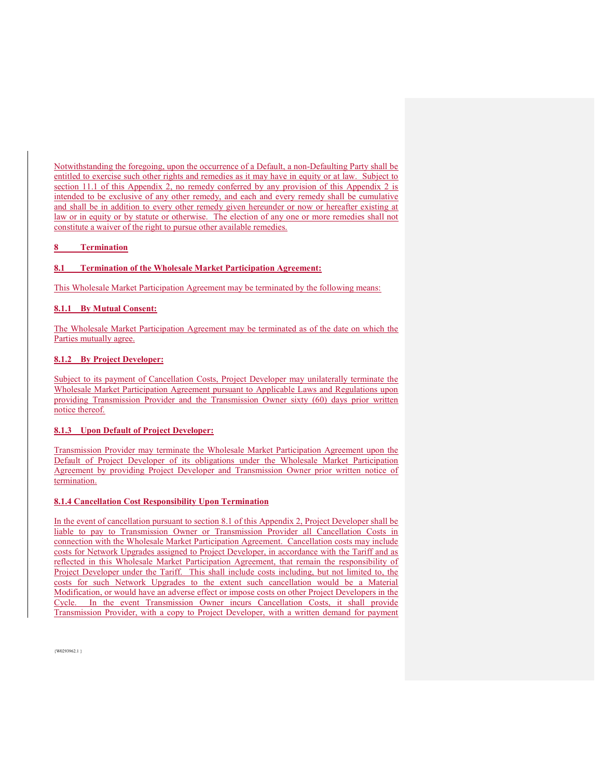Notwithstanding the foregoing, upon the occurrence of a Default, a non-Defaulting Party shall be entitled to exercise such other rights and remedies as it may have in equity or at law. Subject to section 11.1 of this Appendix 2, no remedy conferred by any provision of this Appendix 2 is intended to be exclusive of any other remedy, and each and every remedy shall be cumulative and shall be in addition to every other remedy given hereunder or now or hereafter existing at law or in equity or by statute or otherwise. The election of any one or more remedies shall not constitute a waiver of the right to pursue other available remedies.

#### **8 Termination**

#### **8.1 Termination of the Wholesale Market Participation Agreement:**

This Wholesale Market Participation Agreement may be terminated by the following means:

#### **8.1.1 By Mutual Consent:**

The Wholesale Market Participation Agreement may be terminated as of the date on which the Parties mutually agree.

#### **8.1.2 By Project Developer:**

Subject to its payment of Cancellation Costs, Project Developer may unilaterally terminate the Wholesale Market Participation Agreement pursuant to Applicable Laws and Regulations upon providing Transmission Provider and the Transmission Owner sixty (60) days prior written notice thereof.

#### **8.1.3 Upon Default of Project Developer:**

Transmission Provider may terminate the Wholesale Market Participation Agreement upon the Default of Project Developer of its obligations under the Wholesale Market Participation Agreement by providing Project Developer and Transmission Owner prior written notice of termination.

## **8.1.4 Cancellation Cost Responsibility Upon Termination**

In the event of cancellation pursuant to section 8.1 of this Appendix 2, Project Developer shall be liable to pay to Transmission Owner or Transmission Provider all Cancellation Costs in connection with the Wholesale Market Participation Agreement. Cancellation costs may include costs for Network Upgrades assigned to Project Developer, in accordance with the Tariff and as reflected in this Wholesale Market Participation Agreement, that remain the responsibility of Project Developer under the Tariff. This shall include costs including, but not limited to, the costs for such Network Upgrades to the extent such cancellation would be a Material Modification, or would have an adverse effect or impose costs on other Project Developers in the Cycle. In the event Transmission Owner incurs Cancellation Costs, it shall provide Transmission Provider, with a copy to Project Developer, with a written demand for payment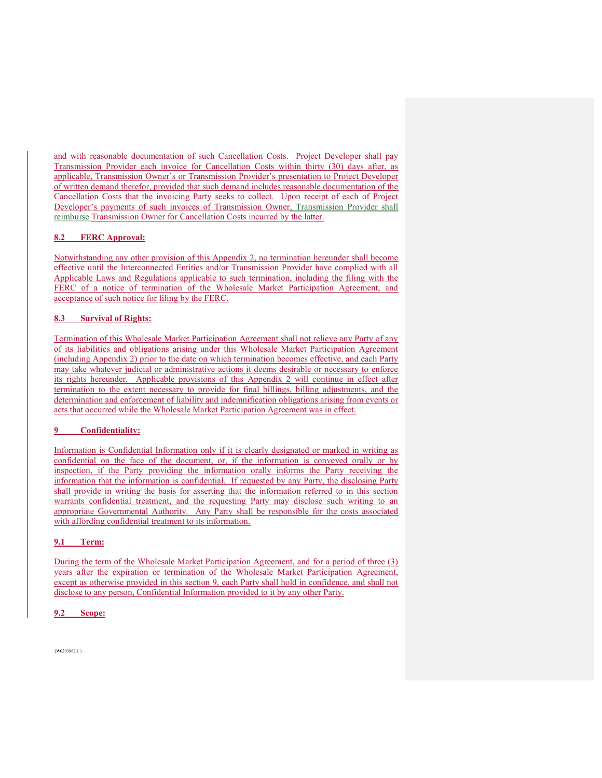and with reasonable documentation of such Cancellation Costs. Project Developer shall pay Transmission Provider each invoice for Cancellation Costs within thirty (30) days after, as applicable, Transmission Owner's or Transmission Provider's presentation to Project Developer of written demand therefor, provided that such demand includes reasonable documentation of the Cancellation Costs that the invoicing Party seeks to collect. Upon receipt of each of Project Developer's payments of such invoices of Transmission Owner, Transmission Provider shall reimburse Transmission Owner for Cancellation Costs incurred by the latter.

## **8.2 FERC Approval:**

Notwithstanding any other provision of this Appendix 2, no termination hereunder shall become effective until the Interconnected Entities and/or Transmission Provider have complied with all Applicable Laws and Regulations applicable to such termination, including the filing with the FERC of a notice of termination of the Wholesale Market Participation Agreement, and acceptance of such notice for filing by the FERC.

## **8.3 Survival of Rights:**

Termination of this Wholesale Market Participation Agreement shall not relieve any Party of any of its liabilities and obligations arising under this Wholesale Market Participation Agreement (including Appendix 2) prior to the date on which termination becomes effective, and each Party may take whatever judicial or administrative actions it deems desirable or necessary to enforce its rights hereunder. Applicable provisions of this Appendix 2 will continue in effect after termination to the extent necessary to provide for final billings, billing adjustments, and the determination and enforcement of liability and indemnification obligations arising from events or acts that occurred while the Wholesale Market Participation Agreement was in effect.

## **9 Confidentiality:**

Information is Confidential Information only if it is clearly designated or marked in writing as confidential on the face of the document, or, if the information is conveyed orally or by inspection, if the Party providing the information orally informs the Party receiving the information that the information is confidential. If requested by any Party, the disclosing Party shall provide in writing the basis for asserting that the information referred to in this section warrants confidential treatment, and the requesting Party may disclose such writing to an appropriate Governmental Authority. Any Party shall be responsible for the costs associated with affording confidential treatment to its information.

## **9.1 Term:**

During the term of the Wholesale Market Participation Agreement, and for a period of three (3) years after the expiration or termination of the Wholesale Market Participation Agreement, except as otherwise provided in this section 9, each Party shall hold in confidence, and shall not disclose to any person, Confidential Information provided to it by any other Party.

## **9.2 Scope:**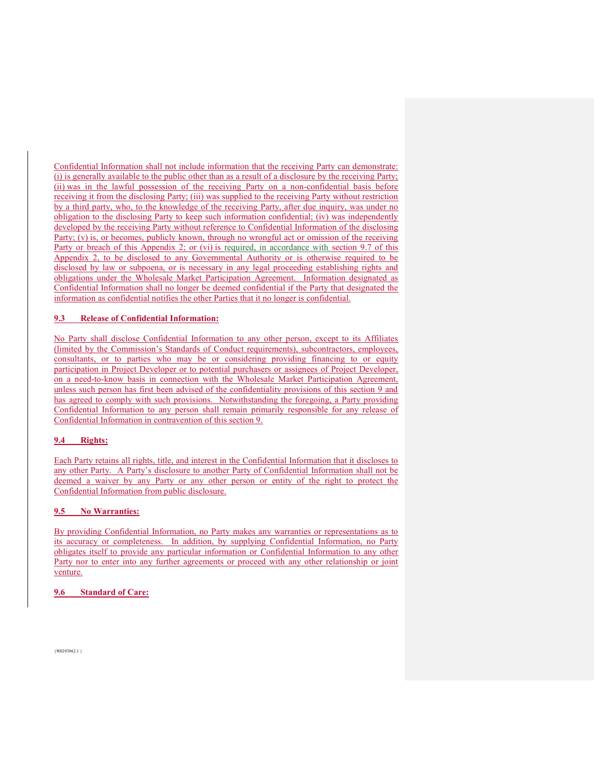Confidential Information shall not include information that the receiving Party can demonstrate: (i) is generally available to the public other than as a result of a disclosure by the receiving Party; (ii) was in the lawful possession of the receiving Party on a non-confidential basis before receiving it from the disclosing Party; (iii) was supplied to the receiving Party without restriction by a third party, who, to the knowledge of the receiving Party, after due inquiry, was under no obligation to the disclosing Party to keep such information confidential; (iv) was independently developed by the receiving Party without reference to Confidential Information of the disclosing Party; (v) is, or becomes, publicly known, through no wrongful act or omission of the receiving Party or breach of this Appendix 2; or (vi) is required, in accordance with section 9.7 of this Appendix 2, to be disclosed to any Governmental Authority or is otherwise required to be disclosed by law or subpoena, or is necessary in any legal proceeding establishing rights and obligations under the Wholesale Market Participation Agreement. Information designated as Confidential Information shall no longer be deemed confidential if the Party that designated the information as confidential notifies the other Parties that it no longer is confidential.

#### **9.3 Release of Confidential Information:**

No Party shall disclose Confidential Information to any other person, except to its Affiliates (limited by the Commission's Standards of Conduct requirements), subcontractors, employees, consultants, or to parties who may be or considering providing financing to or equity participation in Project Developer or to potential purchasers or assignees of Project Developer, on a need-to-know basis in connection with the Wholesale Market Participation Agreement, unless such person has first been advised of the confidentiality provisions of this section 9 and has agreed to comply with such provisions. Notwithstanding the foregoing, a Party providing Confidential Information to any person shall remain primarily responsible for any release of Confidential Information in contravention of this section 9.

#### **9.4 Rights:**

Each Party retains all rights, title, and interest in the Confidential Information that it discloses to any other Party. A Party's disclosure to another Party of Confidential Information shall not be deemed a waiver by any Party or any other person or entity of the right to protect the Confidential Information from public disclosure.

#### **9.5 No Warranties:**

By providing Confidential Information, no Party makes any warranties or representations as to its accuracy or completeness. In addition, by supplying Confidential Information, no Party obligates itself to provide any particular information or Confidential Information to any other Party nor to enter into any further agreements or proceed with any other relationship or joint venture.

#### **9.6 Standard of Care:**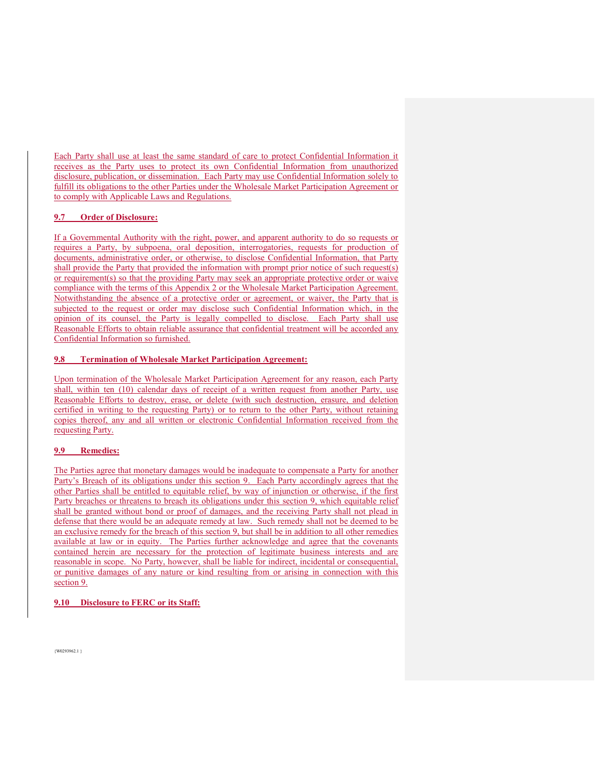Each Party shall use at least the same standard of care to protect Confidential Information it receives as the Party uses to protect its own Confidential Information from unauthorized disclosure, publication, or dissemination. Each Party may use Confidential Information solely to fulfill its obligations to the other Parties under the Wholesale Market Participation Agreement or to comply with Applicable Laws and Regulations.

#### **9.7 Order of Disclosure:**

If a Governmental Authority with the right, power, and apparent authority to do so requests or requires a Party, by subpoena, oral deposition, interrogatories, requests for production of documents, administrative order, or otherwise, to disclose Confidential Information, that Party shall provide the Party that provided the information with prompt prior notice of such request(s) or requirement(s) so that the providing Party may seek an appropriate protective order or waive compliance with the terms of this Appendix 2 or the Wholesale Market Participation Agreement. Notwithstanding the absence of a protective order or agreement, or waiver, the Party that is subjected to the request or order may disclose such Confidential Information which, in the opinion of its counsel, the Party is legally compelled to disclose. Each Party shall use Reasonable Efforts to obtain reliable assurance that confidential treatment will be accorded any Confidential Information so furnished.

#### **9.8 Termination of Wholesale Market Participation Agreement:**

Upon termination of the Wholesale Market Participation Agreement for any reason, each Party shall, within ten (10) calendar days of receipt of a written request from another Party, use Reasonable Efforts to destroy, erase, or delete (with such destruction, erasure, and deletion certified in writing to the requesting Party) or to return to the other Party, without retaining copies thereof, any and all written or electronic Confidential Information received from the requesting Party.

#### **9.9 Remedies:**

The Parties agree that monetary damages would be inadequate to compensate a Party for another Party's Breach of its obligations under this section 9. Each Party accordingly agrees that the other Parties shall be entitled to equitable relief, by way of injunction or otherwise, if the first Party breaches or threatens to breach its obligations under this section 9, which equitable relief shall be granted without bond or proof of damages, and the receiving Party shall not plead in defense that there would be an adequate remedy at law. Such remedy shall not be deemed to be an exclusive remedy for the breach of this section 9, but shall be in addition to all other remedies available at law or in equity. The Parties further acknowledge and agree that the covenants contained herein are necessary for the protection of legitimate business interests and are reasonable in scope. No Party, however, shall be liable for indirect, incidental or consequential, or punitive damages of any nature or kind resulting from or arising in connection with this section 9.

#### **9.10 Disclosure to FERC or its Staff:**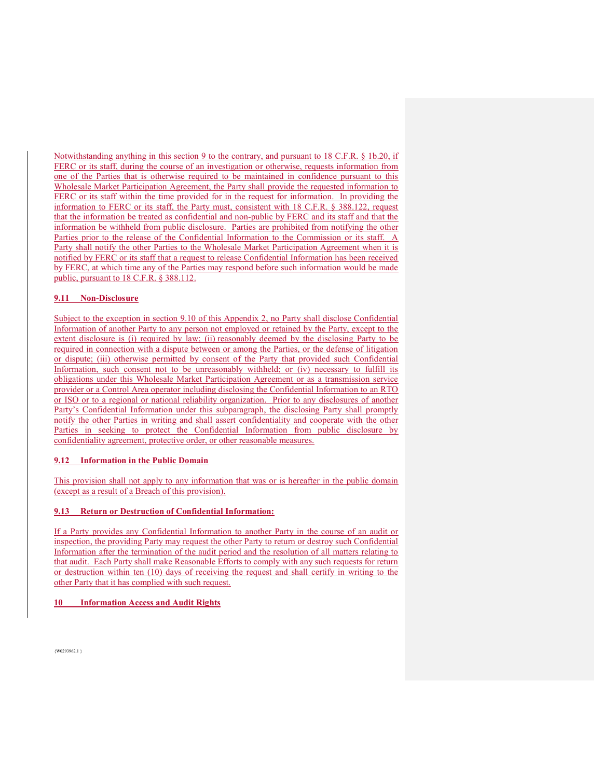Notwithstanding anything in this section 9 to the contrary, and pursuant to 18 C.F.R. § 1b.20, if FERC or its staff, during the course of an investigation or otherwise, requests information from one of the Parties that is otherwise required to be maintained in confidence pursuant to this Wholesale Market Participation Agreement, the Party shall provide the requested information to FERC or its staff within the time provided for in the request for information. In providing the information to FERC or its staff, the Party must, consistent with 18 C.F.R. § 388.122, request that the information be treated as confidential and non-public by FERC and its staff and that the information be withheld from public disclosure. Parties are prohibited from notifying the other Parties prior to the release of the Confidential Information to the Commission or its staff. A Party shall notify the other Parties to the Wholesale Market Participation Agreement when it is notified by FERC or its staff that a request to release Confidential Information has been received by FERC, at which time any of the Parties may respond before such information would be made public, pursuant to 18 C.F.R. § 388.112.

#### **9.11 Non-Disclosure**

Subject to the exception in section 9.10 of this Appendix 2, no Party shall disclose Confidential Information of another Party to any person not employed or retained by the Party, except to the extent disclosure is (i) required by law; (ii) reasonably deemed by the disclosing Party to be required in connection with a dispute between or among the Parties, or the defense of litigation or dispute; (iii) otherwise permitted by consent of the Party that provided such Confidential Information, such consent not to be unreasonably withheld; or (iv) necessary to fulfill its obligations under this Wholesale Market Participation Agreement or as a transmission service provider or a Control Area operator including disclosing the Confidential Information to an RTO or ISO or to a regional or national reliability organization. Prior to any disclosures of another Party's Confidential Information under this subparagraph, the disclosing Party shall promptly notify the other Parties in writing and shall assert confidentiality and cooperate with the other Parties in seeking to protect the Confidential Information from public disclosure by confidentiality agreement, protective order, or other reasonable measures.

#### **9.12 Information in the Public Domain**

This provision shall not apply to any information that was or is hereafter in the public domain (except as a result of a Breach of this provision).

#### **9.13 Return or Destruction of Confidential Information:**

If a Party provides any Confidential Information to another Party in the course of an audit or inspection, the providing Party may request the other Party to return or destroy such Confidential Information after the termination of the audit period and the resolution of all matters relating to that audit. Each Party shall make Reasonable Efforts to comply with any such requests for return or destruction within ten (10) days of receiving the request and shall certify in writing to the other Party that it has complied with such request.

#### **10 Information Access and Audit Rights**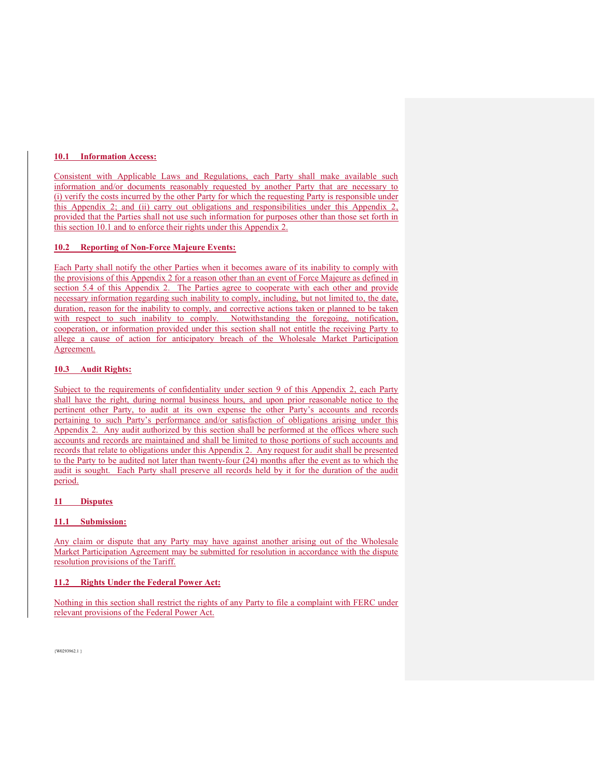## **10.1 Information Access:**

Consistent with Applicable Laws and Regulations, each Party shall make available such information and/or documents reasonably requested by another Party that are necessary to (i) verify the costs incurred by the other Party for which the requesting Party is responsible under this Appendix 2; and (ii) carry out obligations and responsibilities under this Appendix 2, provided that the Parties shall not use such information for purposes other than those set forth in this section 10.1 and to enforce their rights under this Appendix 2.

#### **10.2 Reporting of Non-Force Majeure Events:**

Each Party shall notify the other Parties when it becomes aware of its inability to comply with the provisions of this Appendix 2 for a reason other than an event of Force Majeure as defined in section 5.4 of this Appendix 2. The Parties agree to cooperate with each other and provide necessary information regarding such inability to comply, including, but not limited to, the date, duration, reason for the inability to comply, and corrective actions taken or planned to be taken with respect to such inability to comply. Notwithstanding the foregoing, notification, cooperation, or information provided under this section shall not entitle the receiving Party to allege a cause of action for anticipatory breach of the Wholesale Market Participation Agreement.

#### **10.3 Audit Rights:**

Subject to the requirements of confidentiality under section 9 of this Appendix 2, each Party shall have the right, during normal business hours, and upon prior reasonable notice to the pertinent other Party, to audit at its own expense the other Party's accounts and records pertaining to such Party's performance and/or satisfaction of obligations arising under this Appendix 2. Any audit authorized by this section shall be performed at the offices where such accounts and records are maintained and shall be limited to those portions of such accounts and records that relate to obligations under this Appendix 2. Any request for audit shall be presented to the Party to be audited not later than twenty-four (24) months after the event as to which the audit is sought. Each Party shall preserve all records held by it for the duration of the audit period.

## **11 Disputes**

## **11.1 Submission:**

Any claim or dispute that any Party may have against another arising out of the Wholesale Market Participation Agreement may be submitted for resolution in accordance with the dispute resolution provisions of the Tariff.

## **11.2 Rights Under the Federal Power Act:**

Nothing in this section shall restrict the rights of any Party to file a complaint with FERC under relevant provisions of the Federal Power Act.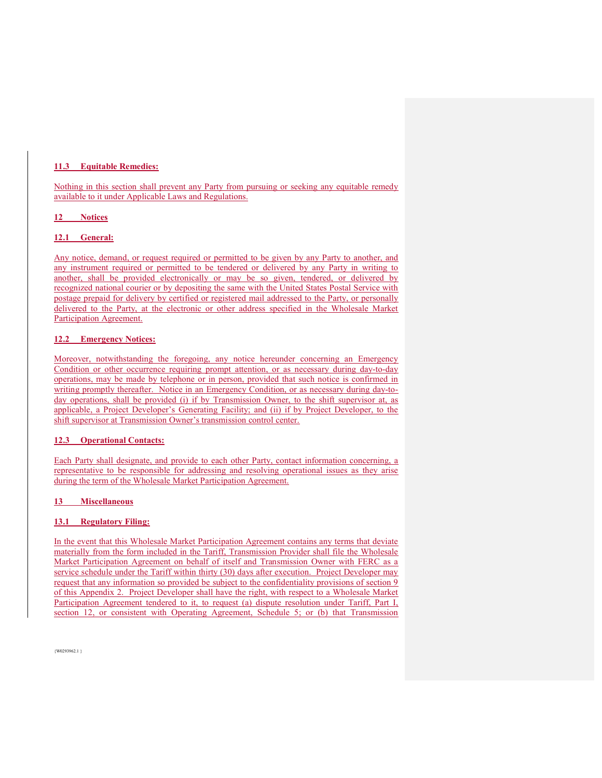## **11.3 Equitable Remedies:**

Nothing in this section shall prevent any Party from pursuing or seeking any equitable remedy available to it under Applicable Laws and Regulations.

#### **12 Notices**

## **12.1 General:**

Any notice, demand, or request required or permitted to be given by any Party to another, and any instrument required or permitted to be tendered or delivered by any Party in writing to another, shall be provided electronically or may be so given, tendered, or delivered by recognized national courier or by depositing the same with the United States Postal Service with postage prepaid for delivery by certified or registered mail addressed to the Party, or personally delivered to the Party, at the electronic or other address specified in the Wholesale Market Participation Agreement.

#### **12.2 Emergency Notices:**

Moreover, notwithstanding the foregoing, any notice hereunder concerning an Emergency Condition or other occurrence requiring prompt attention, or as necessary during day-to-day operations, may be made by telephone or in person, provided that such notice is confirmed in writing promptly thereafter. Notice in an Emergency Condition, or as necessary during day-today operations, shall be provided (i) if by Transmission Owner, to the shift supervisor at, as applicable, a Project Developer's Generating Facility; and (ii) if by Project Developer, to the shift supervisor at Transmission Owner's transmission control center.

#### **12.3 Operational Contacts:**

Each Party shall designate, and provide to each other Party, contact information concerning, a representative to be responsible for addressing and resolving operational issues as they arise during the term of the Wholesale Market Participation Agreement.

## **13 Miscellaneous**

## **13.1 Regulatory Filing:**

In the event that this Wholesale Market Participation Agreement contains any terms that deviate materially from the form included in the Tariff, Transmission Provider shall file the Wholesale Market Participation Agreement on behalf of itself and Transmission Owner with FERC as a service schedule under the Tariff within thirty (30) days after execution. Project Developer may request that any information so provided be subject to the confidentiality provisions of section 9 of this Appendix 2. Project Developer shall have the right, with respect to a Wholesale Market Participation Agreement tendered to it, to request (a) dispute resolution under Tariff, Part I, section 12, or consistent with Operating Agreement, Schedule 5; or (b) that Transmission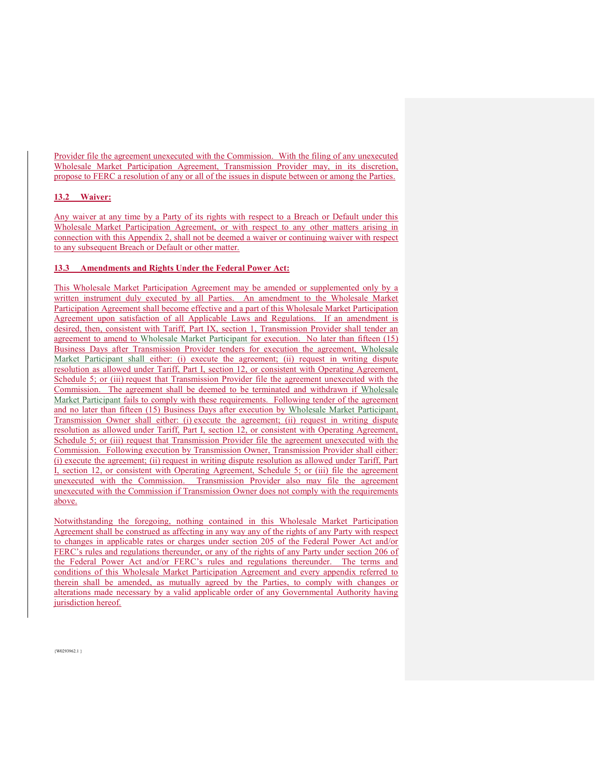Provider file the agreement unexecuted with the Commission. With the filing of any unexecuted Wholesale Market Participation Agreement, Transmission Provider may, in its discretion, propose to FERC a resolution of any or all of the issues in dispute between or among the Parties.

#### **13.2 Waiver:**

Any waiver at any time by a Party of its rights with respect to a Breach or Default under this Wholesale Market Participation Agreement, or with respect to any other matters arising in connection with this Appendix 2, shall not be deemed a waiver or continuing waiver with respect to any subsequent Breach or Default or other matter.

#### **13.3 Amendments and Rights Under the Federal Power Act:**

This Wholesale Market Participation Agreement may be amended or supplemented only by a written instrument duly executed by all Parties. An amendment to the Wholesale Market Participation Agreement shall become effective and a part of this Wholesale Market Participation Agreement upon satisfaction of all Applicable Laws and Regulations. If an amendment is desired, then, consistent with Tariff, Part IX, section 1, Transmission Provider shall tender an agreement to amend to Wholesale Market Participant for execution. No later than fifteen (15) Business Days after Transmission Provider tenders for execution the agreement, Wholesale Market Participant shall either: (i) execute the agreement; (ii) request in writing dispute resolution as allowed under Tariff, Part I, section 12, or consistent with Operating Agreement, Schedule 5; or (iii) request that Transmission Provider file the agreement unexecuted with the Commission. The agreement shall be deemed to be terminated and withdrawn if Wholesale Market Participant fails to comply with these requirements. Following tender of the agreement and no later than fifteen (15) Business Days after execution by Wholesale Market Participant, Transmission Owner shall either: (i) execute the agreement; (ii) request in writing dispute resolution as allowed under Tariff, Part I, section 12, or consistent with Operating Agreement, Schedule 5; or (iii) request that Transmission Provider file the agreement unexecuted with the Commission. Following execution by Transmission Owner, Transmission Provider shall either: (i) execute the agreement; (ii) request in writing dispute resolution as allowed under Tariff, Part I, section 12, or consistent with Operating Agreement, Schedule 5; or (iii) file the agreement unexecuted with the Commission. Transmission Provider also may file the agreement unexecuted with the Commission if Transmission Owner does not comply with the requirements above.

Notwithstanding the foregoing, nothing contained in this Wholesale Market Participation Agreement shall be construed as affecting in any way any of the rights of any Party with respect to changes in applicable rates or charges under section 205 of the Federal Power Act and/or FERC's rules and regulations thereunder, or any of the rights of any Party under section 206 of the Federal Power Act and/or FERC's rules and regulations thereunder. The terms and conditions of this Wholesale Market Participation Agreement and every appendix referred to therein shall be amended, as mutually agreed by the Parties, to comply with changes or alterations made necessary by a valid applicable order of any Governmental Authority having jurisdiction hereof.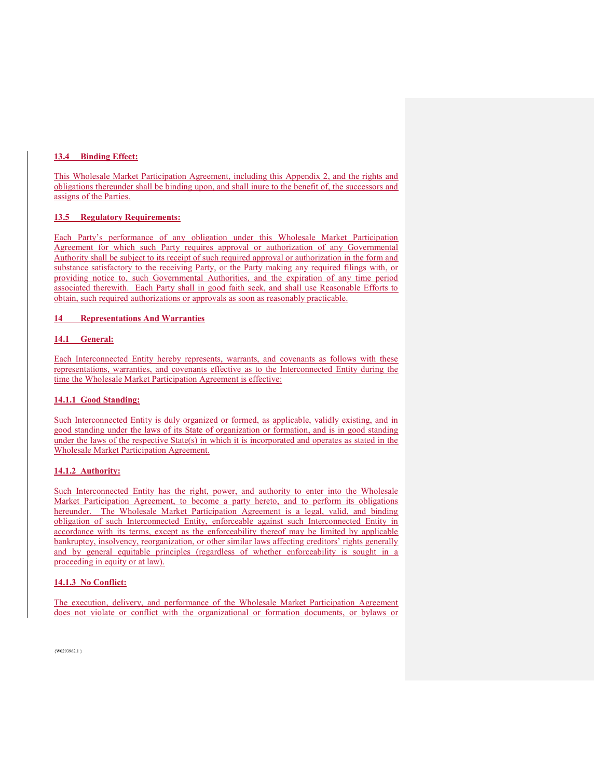#### **13.4 Binding Effect:**

This Wholesale Market Participation Agreement, including this Appendix 2, and the rights and obligations thereunder shall be binding upon, and shall inure to the benefit of, the successors and assigns of the Parties.

#### **13.5 Regulatory Requirements:**

Each Party's performance of any obligation under this Wholesale Market Participation Agreement for which such Party requires approval or authorization of any Governmental Authority shall be subject to its receipt of such required approval or authorization in the form and substance satisfactory to the receiving Party, or the Party making any required filings with, or providing notice to, such Governmental Authorities, and the expiration of any time period associated therewith. Each Party shall in good faith seek, and shall use Reasonable Efforts to obtain, such required authorizations or approvals as soon as reasonably practicable.

#### **14 Representations And Warranties**

#### **14.1 General:**

Each Interconnected Entity hereby represents, warrants, and covenants as follows with these representations, warranties, and covenants effective as to the Interconnected Entity during the time the Wholesale Market Participation Agreement is effective:

#### **14.1.1 Good Standing:**

Such Interconnected Entity is duly organized or formed, as applicable, validly existing, and in good standing under the laws of its State of organization or formation, and is in good standing under the laws of the respective State(s) in which it is incorporated and operates as stated in the Wholesale Market Participation Agreement.

#### **14.1.2 Authority:**

Such Interconnected Entity has the right, power, and authority to enter into the Wholesale Market Participation Agreement, to become a party hereto, and to perform its obligations hereunder. The Wholesale Market Participation Agreement is a legal, valid, and binding obligation of such Interconnected Entity, enforceable against such Interconnected Entity in accordance with its terms, except as the enforceability thereof may be limited by applicable bankruptcy, insolvency, reorganization, or other similar laws affecting creditors' rights generally and by general equitable principles (regardless of whether enforceability is sought in a proceeding in equity or at law).

#### **14.1.3 No Conflict:**

The execution, delivery, and performance of the Wholesale Market Participation Agreement does not violate or conflict with the organizational or formation documents, or bylaws or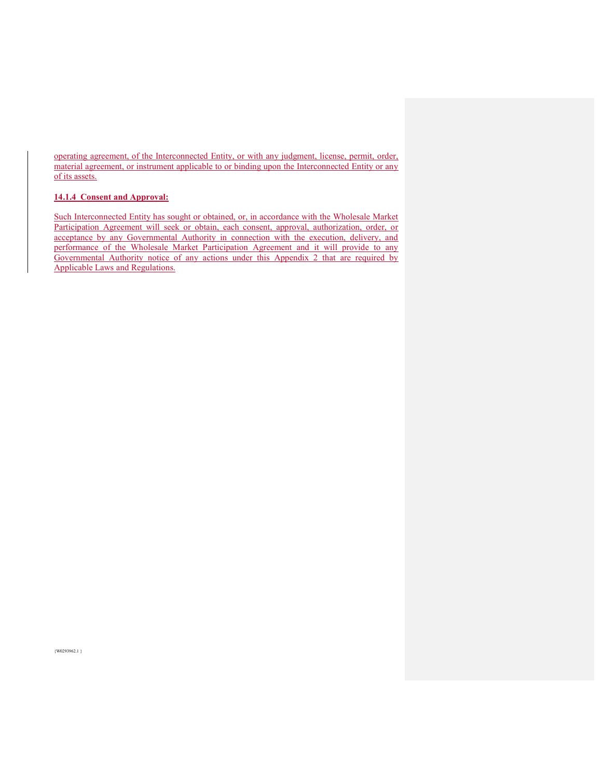operating agreement, of the Interconnected Entity, or with any judgment, license, permit, order, material agreement, or instrument applicable to or binding upon the Interconnected Entity or any of its assets.

# **14.1.4 Consent and Approval:**

Such Interconnected Entity has sought or obtained, or, in accordance with the Wholesale Market Participation Agreement will seek or obtain, each consent, approval, authorization, order, or acceptance by any Governmental Authority in connection with the execution, delivery, and performance of the Wholesale Market Participation Agreement and it will provide to any Governmental Authority notice of any actions under this Appendix 2 that are required by Applicable Laws and Regulations.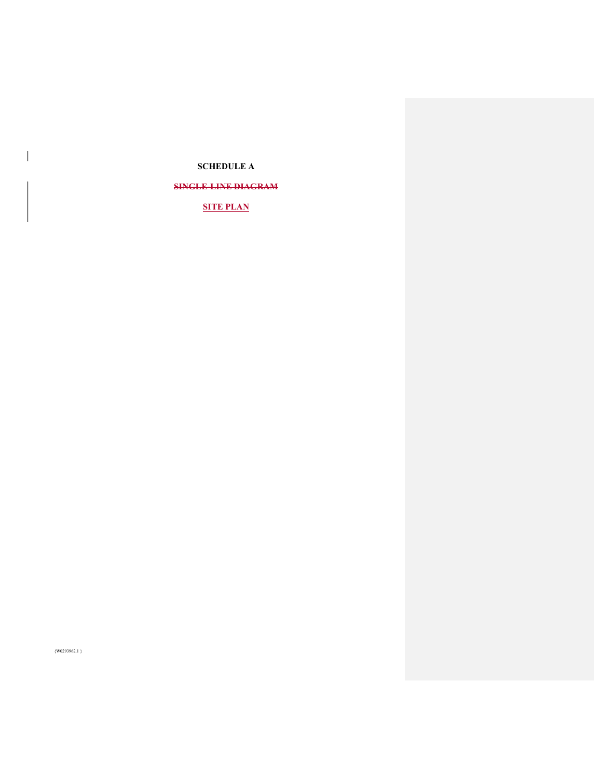# **SCHEDULE A**

# **SINGLE-LINE DIAGRAM**

# **SITE PLAN**

{W0293962.1 }

 $\overline{\phantom{a}}$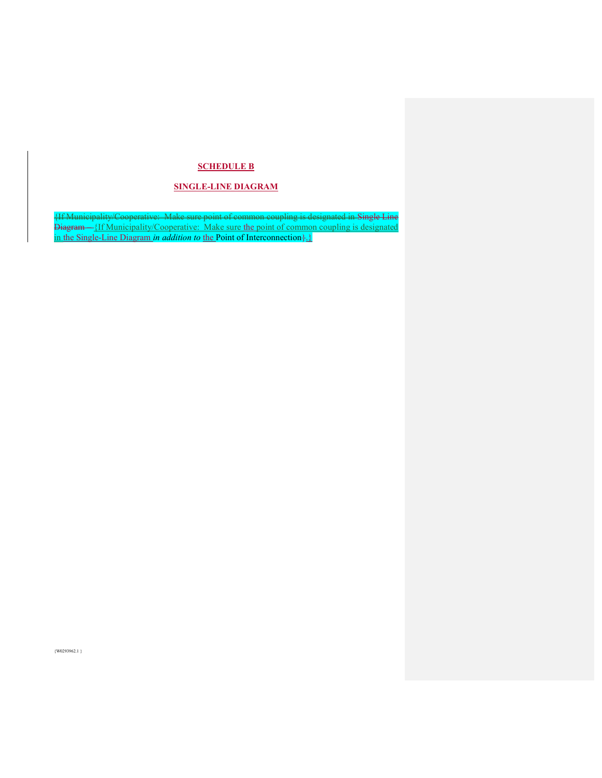# **SCHEDULE B**

# **SINGLE-LINE DIAGRAM**

{If Municipality/Cooperative: Make sure point of common coupling is designated in Single Line Diagram – {If Municipality/Cooperative: Make sure the point of common coupling is designated in the Single-Line Diagram *in addition to* the Point of Interconnection}.}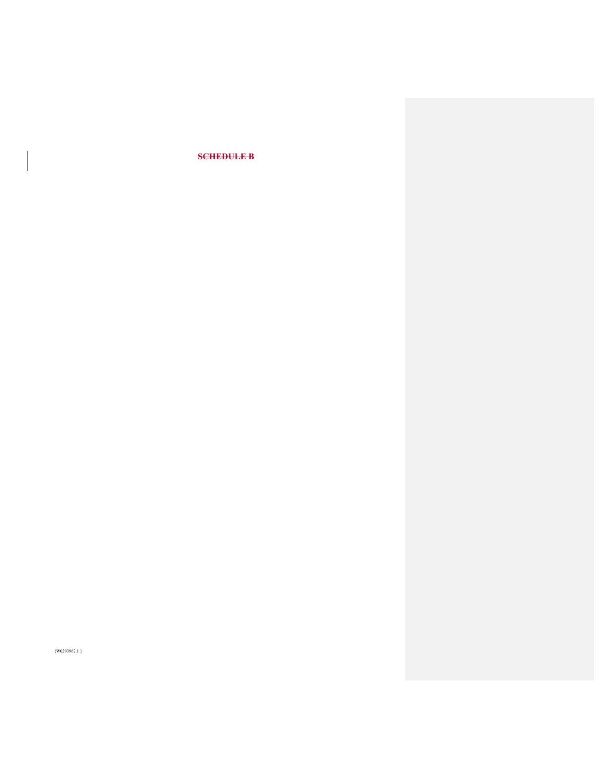# **SCHEDULE B**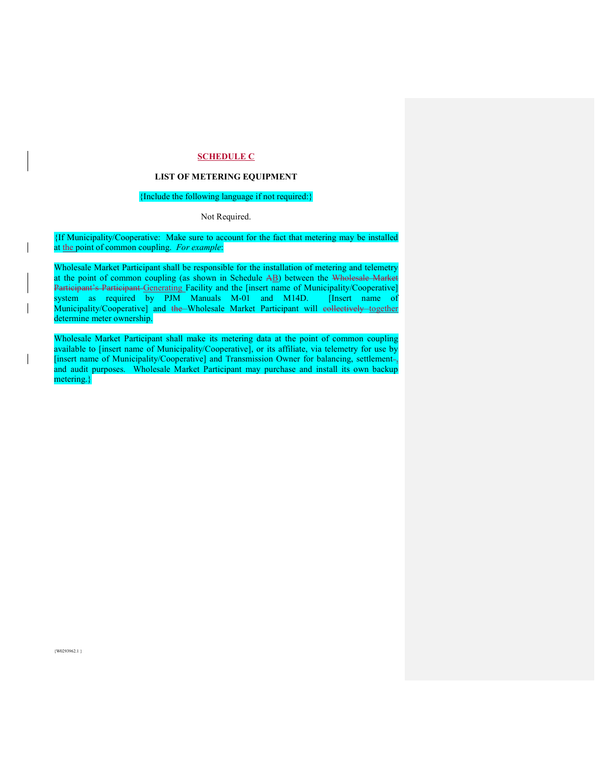# **SCHEDULE C**

#### **LIST OF METERING EQUIPMENT**

# {Include the following language if not required:}

Not Required.

{If Municipality/Cooperative: Make sure to account for the fact that metering may be installed at the point of common coupling. *For example*:

Wholesale Market Participant shall be responsible for the installation of metering and telemetry at the point of common coupling (as shown in Schedule AB) between the Wholesale Market Participant's Participant Generating Facility and the [insert name of Municipality/Cooperative] system as required by PJM Manuals M-01 and M14D. [Insert name of Municipality/Cooperative] and the Wholesale Market Participant will eollectively together determine meter ownership.

Wholesale Market Participant shall make its metering data at the point of common coupling available to [insert name of Municipality/Cooperative], or its affiliate, via telemetry for use by [insert name of Municipality/Cooperative] and Transmission Owner for balancing, settlementand audit purposes. Wholesale Market Participant may purchase and install its own backup metering.}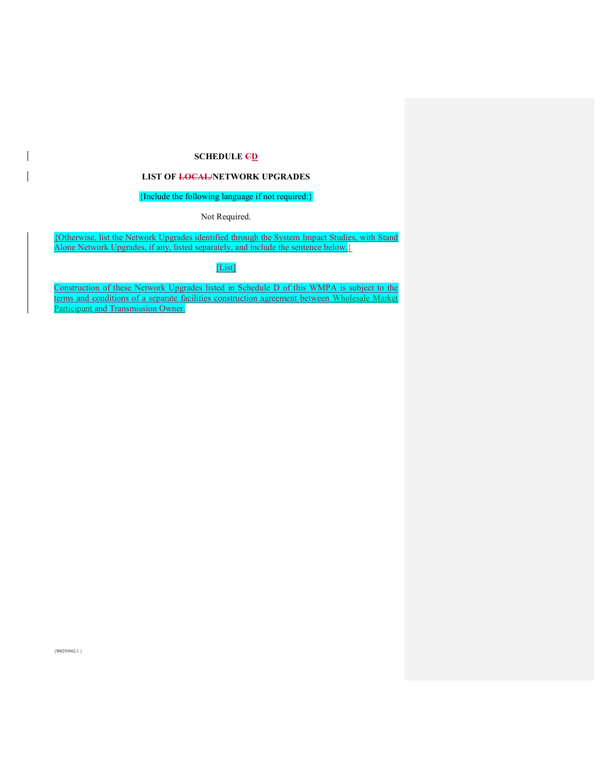# **SCHEDULE CD**

#### **LIST OF LOCAL/NETWORK UPGRADES**

# {Include the following language if not required:}

Not Required.

{Otherwise, list the Network Upgrades identified through the System Impact Studies, with Stand Alone Network Upgrades, if any, listed separately, and include the sentence below.

[List]

Construction of these Network Upgrades listed in Schedule D of this WMPA is subject to the terms and conditions of a separate facilities construction agreement between Wholesale Market **Participant and Transmission Owner.** 

 ${W0293962.1}$ 

 $\overline{\phantom{a}}$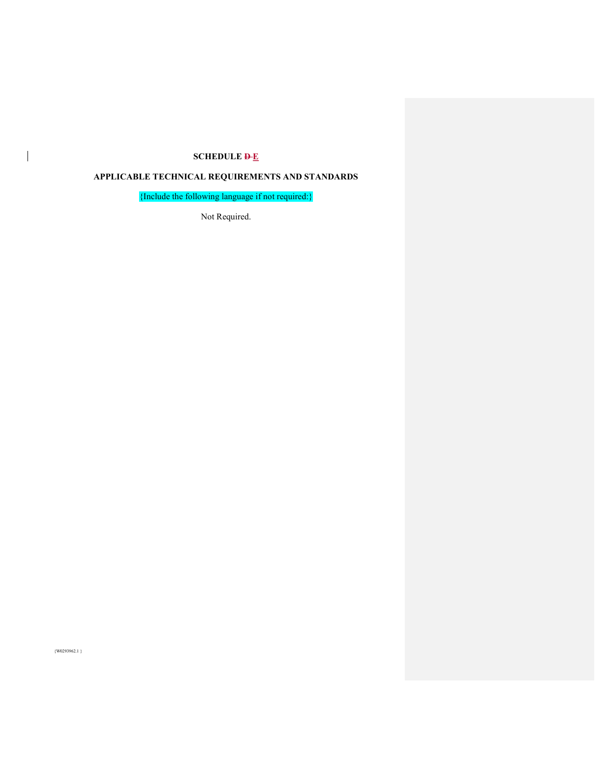# **SCHEDULE**  $\overline{P_{E}}$

# **APPLICABLE TECHNICAL REQUIREMENTS AND STANDARDS**

{Include the following language if not required:}

Not Required.

{W0293962.1 }

 $\overline{\phantom{a}}$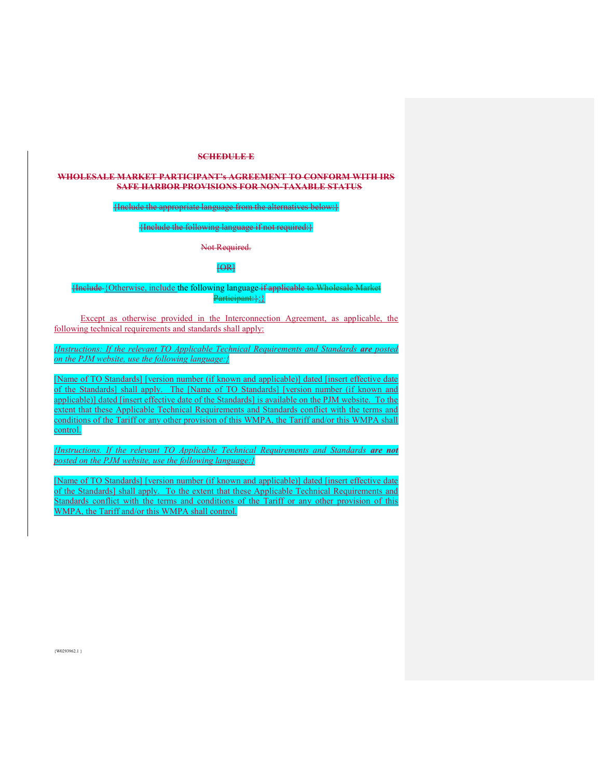#### **SCHEDULE E**

#### **WHOLESALE MARKET PARTICIPANT's AGREEMENT TO CONFORM WITH IRS SAFE HARBOR PROVISIONS FOR NON-TAXABLE STATUS**

#### {Include the appropriate language from the alternatives below:}

# {Include the following language if not required:}

Not Required.

#### [OR]

#### {Include {Otherwise, include the following language if applicable to Wholesale Market Participant: }: }

Except as otherwise provided in the Interconnection Agreement, as applicable, the following technical requirements and standards shall apply:

*{Instructions: If the relevant TO Applicable Technical Requirements and Standards are posted on the PJM website, use the following language:}* 

[Name of TO Standards] [version number (if known and applicable)] dated [insert effective date of the Standards] shall apply. The [Name of TO Standards] [version number (if known and applicable)] dated [insert effective date of the Standards] is available on the PJM website. To the extent that these Applicable Technical Requirements and Standards conflict with the terms and conditions of the Tariff or any other provision of this WMPA, the Tariff and/or this WMPA shall control.

*{Instructions. If the relevant TO Applicable Technical Requirements and Standards are not posted on the PJM website, use the following language:}*

[Name of TO Standards] [version number (if known and applicable)] dated [insert effective date of the Standards] shall apply. To the extent that these Applicable Technical Requirements and Standards conflict with the terms and conditions of the Tariff or any other provision of this WMPA, the Tariff and/or this WMPA shall control.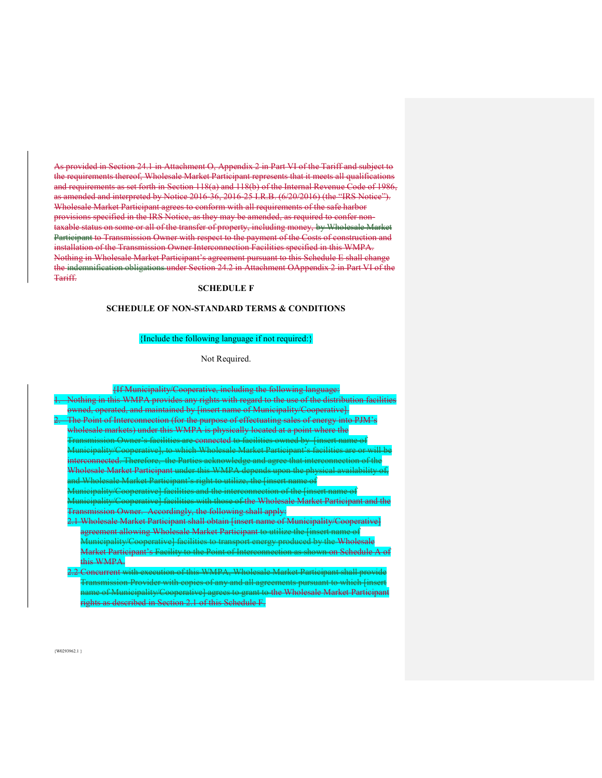As provided in Section 24.1 in Attachment O, Appendix 2 in Part VI of the Tariff and subject to the requirements thereof, Wholesale Market Participant represents that it meets all qualifications and requirements as set forth in Section 118(a) and 118(b) of the Internal Revenue Code of 1986, as amended and interpreted by Notice 2016-36, 2016-25 I.R.B. (6/20/2016) (the "IRS Notice"). Wholesale Market Participant agrees to conform with all requirements of the safe harbor provisions specified in the IRS Notice, as they may be amended, as required to confer nontaxable status on some or all of the transfer of property, including money, by Wholesale Market Participant to Transmission Owner with respect to the payment of the Costs of construction and installation of the Transmission Owner Interconnection Facilities specified in this WMPA. Nothing in Wholesale Market Participant's agreement pursuant to this Schedule E shall change the indemnification obligations under Section 24.2 in Attachment OAppendix 2 in Part VI of the Tariff.

#### **SCHEDULE F**

#### **SCHEDULE OF NON-STANDARD TERMS & CONDITIONS**

#### {Include the following language if not required:}

Not Required.

| Hf Municipality/Cooperative, including the following language:                                            |
|-----------------------------------------------------------------------------------------------------------|
| use of the distribution facilities<br>Nothing in this WMPA provides any rights with regard to the         |
| owned, operated, and maintained by [insert name of Municipality/Cooperative].                             |
| The Point of Interconnection (for the purpose of effectuating sales of energy into PJM's                  |
| wholesale markets) under this WMPA is physically located at a point where the                             |
| facilities are connected to facilities owned by finsert name of<br><del>ansmission Owner'</del>           |
| Iunicipality/Cooperative], to which Wholesale Market Participant's facilities                             |
| Therefore, the Parties acknowledge and agree that interconnection of<br>interconnected.<br><del>‡he</del> |
| sale Market Participant under this WMPA depends upon the physical availat<br>11010oure                    |
| Wholesale Market Participant's right to utilize, the [insert name                                         |
| Iunicipality/Cooperative] facilities and the interconnection of the [insert name of                       |
| Municipality/Cooperative] facilities with those of the Wholesale Market Participant and                   |
| ansmission Owner. Accordingly, the following shall apply:                                                 |
| Wholesale Market Participant shall obtain [insert name of Municipality/Cooperative                        |
| agreement allowing Wholesale Market Participant to utilize                                                |
| Municipality/Cooperative] facilities to transport energy<br>produced by the Wholesale                     |
| <del>Market Participant's Facility to the Point</del><br><del>shown on Schedule</del>                     |
| this WMPA.                                                                                                |
| Concurrent with<br>execution of this<br>Participant shall                                                 |
| copies of any and all agreements<br>ransmission Provider with                                             |
| grant to the Wholesale Market Dorticipant<br><u>aame of Municipality/Cooperative I</u><br>amppe to        |

rights as described in Section 2.1 of this Schedule F.

 $\{W0293962.1\}$